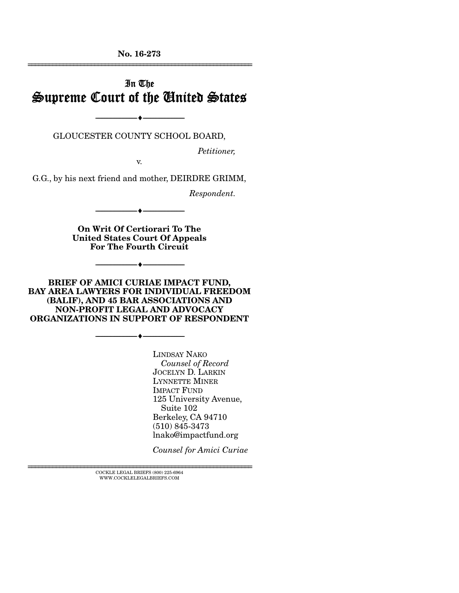No. 16-273 ================================================================

# In The Supreme Court of the United States

GLOUCESTER COUNTY SCHOOL BOARD,

--------------------------------- ---------------------------------

*Petitioner,* 

v.

G.G., by his next friend and mother, DEIRDRE GRIMM,

*Respondent.* 

On Writ Of Certiorari To The United States Court Of Appeals For The Fourth Circuit

--------------------------------- ---------------------------------

--------------------------------- ---------------------------------

BRIEF OF AMICI CURIAE IMPACT FUND, BAY AREA LAWYERS FOR INDIVIDUAL FREEDOM (BALIF), AND 45 BAR ASSOCIATIONS AND NON-PROFIT LEGAL AND ADVOCACY ORGANIZATIONS IN SUPPORT OF RESPONDENT

--------------------------------- ---------------------------------

LINDSAY NAKO *Counsel of Record*  JOCELYN D. LARKIN LYNNETTE MINER IMPACT FUND 125 University Avenue, Suite 102 Berkeley, CA 94710 (510) 845-3473 lnako@impactfund.org

*Counsel for Amici Curiae* 

 $\textsc{COCKLE}$  LEGAL BRIEFS (800) 225-6964 WWW.COCKLELEGALBRIEFS.COM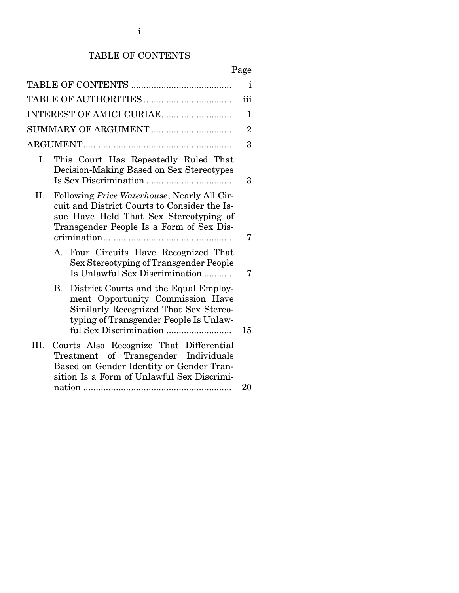## TABLE OF CONTENTS

| × |
|---|
|---|

|      |                                                                                                                                                                                           | $\mathbf{i}$   |
|------|-------------------------------------------------------------------------------------------------------------------------------------------------------------------------------------------|----------------|
|      |                                                                                                                                                                                           | iii            |
|      | INTEREST OF AMICI CURIAE                                                                                                                                                                  | 1              |
|      | SUMMARY OF ARGUMENT                                                                                                                                                                       | $\overline{2}$ |
|      |                                                                                                                                                                                           | 3              |
| Ι.   | This Court Has Repeatedly Ruled That<br>Decision-Making Based on Sex Stereotypes                                                                                                          | 3              |
| П.   | Following <i>Price Waterhouse</i> , Nearly All Cir-<br>cuit and District Courts to Consider the Is-<br>sue Have Held That Sex Stereotyping of<br>Transgender People Is a Form of Sex Dis- | 7              |
|      | Four Circuits Have Recognized That<br>A.<br>Sex Stereotyping of Transgender People<br>Is Unlawful Sex Discrimination                                                                      | 7              |
|      | District Courts and the Equal Employ-<br>В.<br>ment Opportunity Commission Have<br>Similarly Recognized That Sex Stereo-<br>typing of Transgender People Is Unlaw-                        | 15             |
| III. | Courts Also Recognize That Differential<br>Treatment of Transgender Individuals<br>Based on Gender Identity or Gender Tran-<br>sition Is a Form of Unlawful Sex Discrimi-                 | 20             |
|      |                                                                                                                                                                                           |                |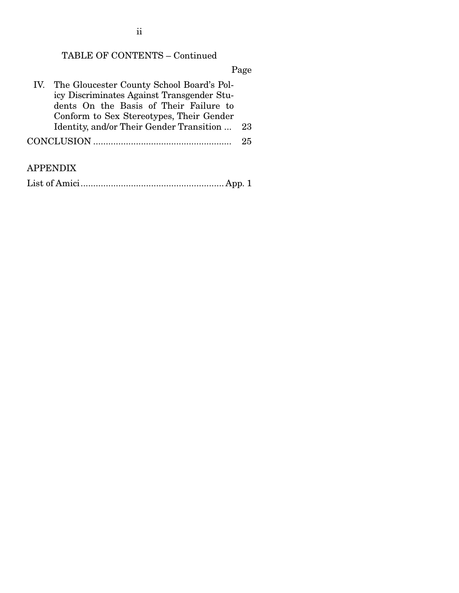ii

## TABLE OF CONTENTS – Continued

Page

| IV. The Gloucester County School Board's Pol- |    |
|-----------------------------------------------|----|
| icy Discriminates Against Transgender Stu-    |    |
| dents On the Basis of Their Failure to        |    |
| Conform to Sex Stereotypes, Their Gender      |    |
| Identity, and/or Their Gender Transition  23  |    |
|                                               | 25 |
|                                               |    |

## APPENDIX

List of Amici ......................................................... App. 1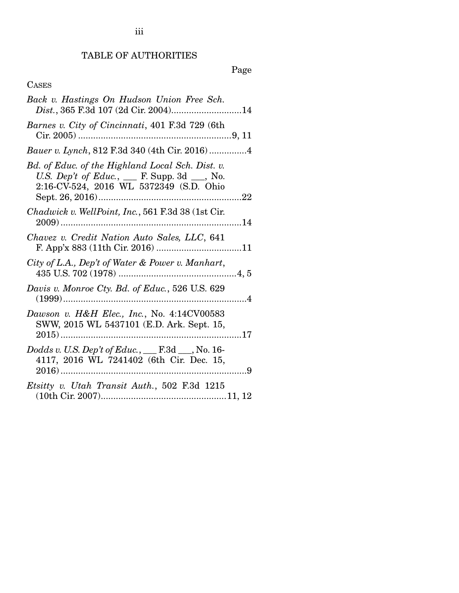## TABLE OF AUTHORITIES

Page

## CASES

| Back v. Hastings On Hudson Union Free Sch.<br>Dist., 365 F.3d 107 (2d Cir. 2004)14                                                                  |
|-----------------------------------------------------------------------------------------------------------------------------------------------------|
| Barnes v. City of Cincinnati, 401 F.3d 729 (6th                                                                                                     |
|                                                                                                                                                     |
| Bd. of Educ. of the Highland Local Sch. Dist. v.<br>U.S. Dep't of Educ., $\_\_$ F. Supp. 3d $\_\_$ , No.<br>2:16-CV-524, 2016 WL 5372349 (S.D. Ohio |
| Chadwick v. WellPoint, Inc., 561 F.3d 38 (1st Cir.                                                                                                  |
| Chavez v. Credit Nation Auto Sales, LLC, 641                                                                                                        |
| City of L.A., Dep't of Water & Power v. Manhart,                                                                                                    |
| Davis v. Monroe Cty. Bd. of Educ., 526 U.S. 629                                                                                                     |
| Dawson v. H&H Elec., Inc., No. 4:14CV00583<br>SWW, 2015 WL 5437101 (E.D. Ark. Sept. 15,                                                             |
| Dodds v. U.S. Dep't of Educ., __ F.3d __, No. 16-<br>4117, 2016 WL 7241402 (6th Cir. Dec. 15,                                                       |
| Etsitty v. Utah Transit Auth., 502 F.3d 1215                                                                                                        |

iii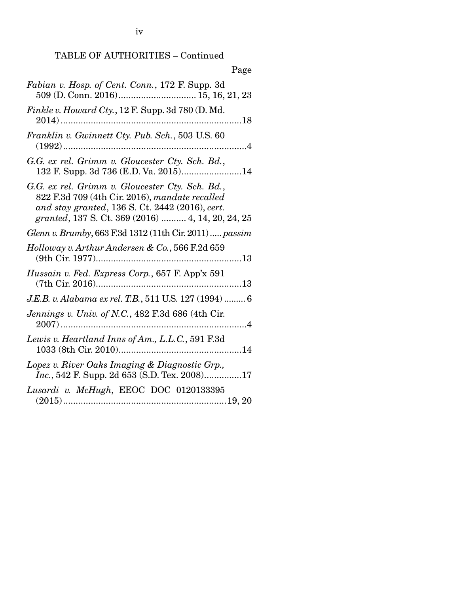## TABLE OF AUTHORITIES – Continued

| Page                                                                                                                                                                                                      |
|-----------------------------------------------------------------------------------------------------------------------------------------------------------------------------------------------------------|
| Fabian v. Hosp. of Cent. Conn., 172 F. Supp. 3d                                                                                                                                                           |
| Finkle v. Howard Cty., 12 F. Supp. 3d 780 (D. Md.                                                                                                                                                         |
| Franklin v. Gwinnett Cty. Pub. Sch., 503 U.S. 60                                                                                                                                                          |
| G.G. ex rel. Grimm v. Gloucester Cty. Sch. Bd.,<br>132 F. Supp. 3d 736 (E.D. Va. 2015)14                                                                                                                  |
| G.G. ex rel. Grimm v. Gloucester Cty. Sch. Bd.,<br>822 F.3d 709 (4th Cir. 2016), mandate recalled<br>and stay granted, 136 S. Ct. 2442 (2016), cert.<br>granted, 137 S. Ct. 369 (2016)  4, 14, 20, 24, 25 |
| Glenn v. Brumby, 663 F.3d 1312 (11th Cir. 2011)  passim                                                                                                                                                   |
| Holloway v. Arthur Andersen & Co., 566 F.2d 659                                                                                                                                                           |
| Hussain v. Fed. Express Corp., 657 F. App'x 591                                                                                                                                                           |
| J.E.B. v. Alabama ex rel. T.B., 511 U.S. 127 (1994)  6                                                                                                                                                    |
| Jennings v. Univ. of N.C., 482 F.3d 686 (4th Cir.                                                                                                                                                         |
| Lewis v. Heartland Inns of Am., L.L.C., 591 F.3d                                                                                                                                                          |
| Lopez v. River Oaks Imaging & Diagnostic Grp.,<br>Inc., 542 F. Supp. 2d 653 (S.D. Tex. 2008)17                                                                                                            |
| Lusardi v. McHugh, EEOC DOC 0120133395                                                                                                                                                                    |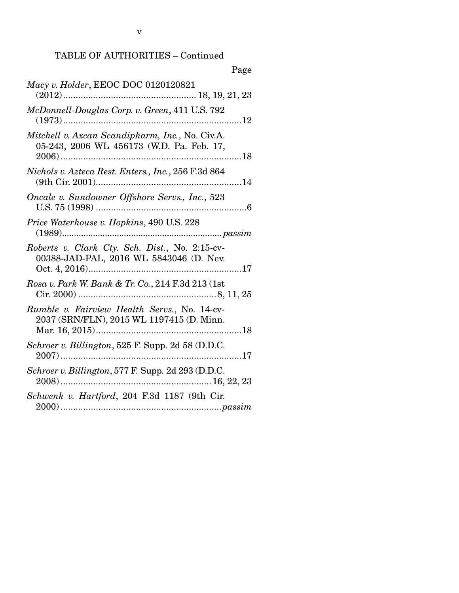## TABLE OF AUTHORITIES – Continued

| Page                                                                                         |
|----------------------------------------------------------------------------------------------|
| Macy v. Holder, EEOC DOC 0120120821                                                          |
| McDonnell-Douglas Corp. v. Green, 411 U.S. 792                                               |
| Mitchell v. Axcan Scandipharm, Inc., No. Civ.A.<br>05-243, 2006 WL 456173 (W.D. Pa. Feb. 17, |
| Nichols v. Azteca Rest. Enters., Inc., 256 F.3d 864                                          |
| Oncale v. Sundowner Offshore Servs., Inc., 523                                               |
| Price Waterhouse v. Hopkins, 490 U.S. 228                                                    |
| Roberts v. Clark Cty. Sch. Dist., No. 2:15-cv-<br>00388-JAD-PAL, 2016 WL 5843046 (D. Nev.    |
| Rosa v. Park W. Bank & Tr. Co., 214 F.3d 213 (1st                                            |
| Rumble v. Fairview Health Servs., No. 14-cv-<br>2037 (SRN/FLN), 2015 WL 1197415 (D. Minn.    |
| Schroer v. Billington, 525 F. Supp. 2d 58 (D.D.C.<br>. 17                                    |
| Schroer v. Billington, 577 F. Supp. 2d 293 (D.D.C.                                           |
| Schwenk v. Hartford, 204 F.3d 1187 (9th Cir.                                                 |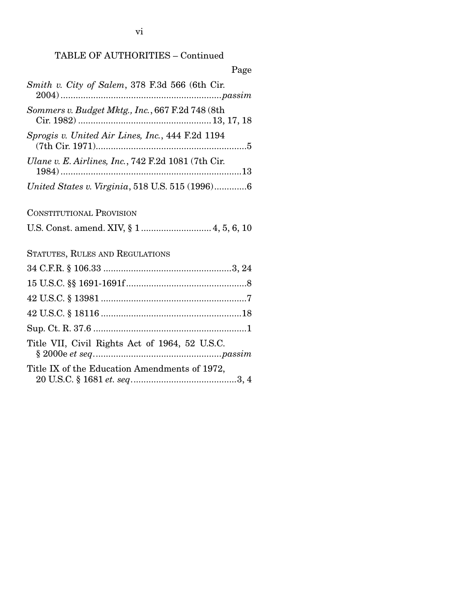# TABLE OF AUTHORITIES – Continued

| Page                                                |
|-----------------------------------------------------|
| Smith v. City of Salem, 378 F.3d 566 (6th Cir.      |
| Sommers v. Budget Mktg., Inc., 667 F.2d 748 (8th    |
| Sprogis v. United Air Lines, Inc., 444 F.2d 1194    |
| Ulane v. E. Airlines, Inc., 742 F.2d 1081 (7th Cir. |
| United States v. Virginia, 518 U.S. 515 (1996)6     |
| <b>CONSTITUTIONAL PROVISION</b>                     |
|                                                     |
| STATUTES, RULES AND REGULATIONS                     |
|                                                     |
|                                                     |
|                                                     |
|                                                     |
|                                                     |
| Title VII, Civil Rights Act of 1964, 52 U.S.C.      |
| Title IX of the Education Amendments of 1972,       |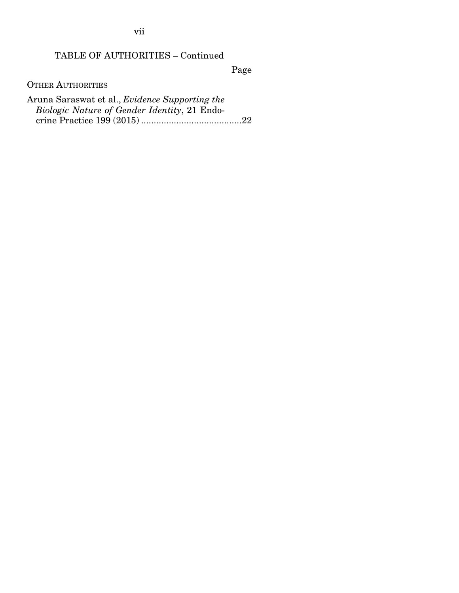vii

## TABLE OF AUTHORITIES – Continued

Page

OTHER AUTHORITIES

Aruna Saraswat et al., *Evidence Supporting the Biologic Nature of Gender Identity*, 21 Endocrine Practice 199 (2015) ........................................ 22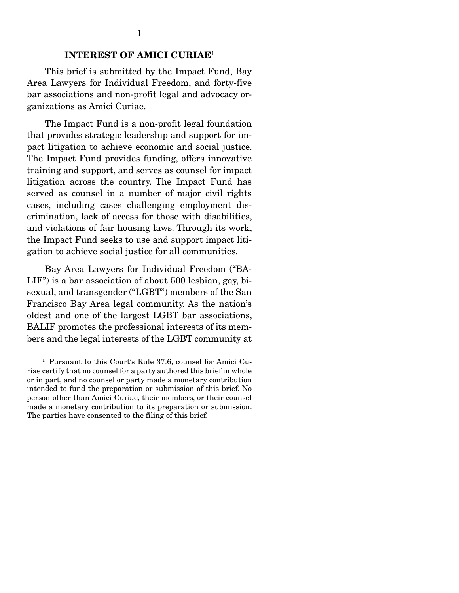### INTEREST OF AMICI CURIAE<sup>1</sup>

 This brief is submitted by the Impact Fund, Bay Area Lawyers for Individual Freedom, and forty-five bar associations and non-profit legal and advocacy organizations as Amici Curiae.

 The Impact Fund is a non-profit legal foundation that provides strategic leadership and support for impact litigation to achieve economic and social justice. The Impact Fund provides funding, offers innovative training and support, and serves as counsel for impact litigation across the country. The Impact Fund has served as counsel in a number of major civil rights cases, including cases challenging employment discrimination, lack of access for those with disabilities, and violations of fair housing laws. Through its work, the Impact Fund seeks to use and support impact litigation to achieve social justice for all communities.

 Bay Area Lawyers for Individual Freedom ("BA-LIF") is a bar association of about 500 lesbian, gay, bisexual, and transgender ("LGBT") members of the San Francisco Bay Area legal community. As the nation's oldest and one of the largest LGBT bar associations, BALIF promotes the professional interests of its members and the legal interests of the LGBT community at

<sup>1</sup> Pursuant to this Court's Rule 37.6, counsel for Amici Curiae certify that no counsel for a party authored this brief in whole or in part, and no counsel or party made a monetary contribution intended to fund the preparation or submission of this brief. No person other than Amici Curiae, their members, or their counsel made a monetary contribution to its preparation or submission. The parties have consented to the filing of this brief.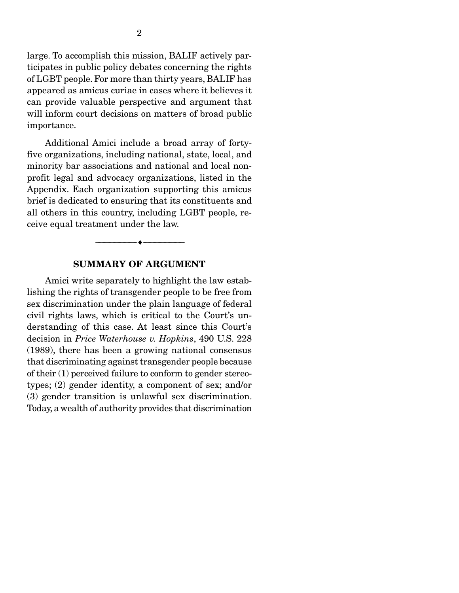large. To accomplish this mission, BALIF actively participates in public policy debates concerning the rights of LGBT people. For more than thirty years, BALIF has appeared as amicus curiae in cases where it believes it can provide valuable perspective and argument that will inform court decisions on matters of broad public importance.

 Additional Amici include a broad array of fortyfive organizations, including national, state, local, and minority bar associations and national and local nonprofit legal and advocacy organizations, listed in the Appendix. Each organization supporting this amicus brief is dedicated to ensuring that its constituents and all others in this country, including LGBT people, receive equal treatment under the law.

#### SUMMARY OF ARGUMENT

--------------------------------- ---------------------------------

 Amici write separately to highlight the law establishing the rights of transgender people to be free from sex discrimination under the plain language of federal civil rights laws, which is critical to the Court's understanding of this case. At least since this Court's decision in *Price Waterhouse v. Hopkins*, 490 U.S. 228 (1989), there has been a growing national consensus that discriminating against transgender people because of their (1) perceived failure to conform to gender stereotypes; (2) gender identity, a component of sex; and/or (3) gender transition is unlawful sex discrimination. Today, a wealth of authority provides that discrimination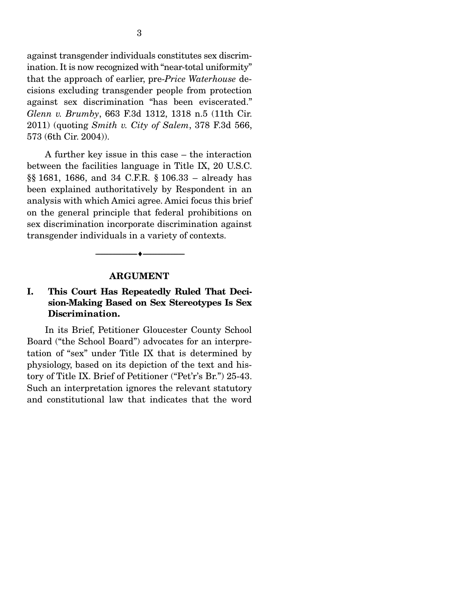against transgender individuals constitutes sex discrimination. It is now recognized with "near-total uniformity" that the approach of earlier, pre-*Price Waterhouse* decisions excluding transgender people from protection against sex discrimination "has been eviscerated." *Glenn v. Brumby*, 663 F.3d 1312, 1318 n.5 (11th Cir. 2011) (quoting *Smith v. City of Salem*, 378 F.3d 566, 573 (6th Cir. 2004)).

 A further key issue in this case – the interaction between the facilities language in Title IX, 20 U.S.C. §§ 1681, 1686, and 34 C.F.R. § 106.33 – already has been explained authoritatively by Respondent in an analysis with which Amici agree. Amici focus this brief on the general principle that federal prohibitions on sex discrimination incorporate discrimination against transgender individuals in a variety of contexts.

#### ARGUMENT

--------------------------------- ---------------------------------

### I. This Court Has Repeatedly Ruled That Decision-Making Based on Sex Stereotypes Is Sex Discrimination.

 In its Brief, Petitioner Gloucester County School Board ("the School Board") advocates for an interpretation of "sex" under Title IX that is determined by physiology, based on its depiction of the text and history of Title IX. Brief of Petitioner ("Pet'r's Br.") 25-43. Such an interpretation ignores the relevant statutory and constitutional law that indicates that the word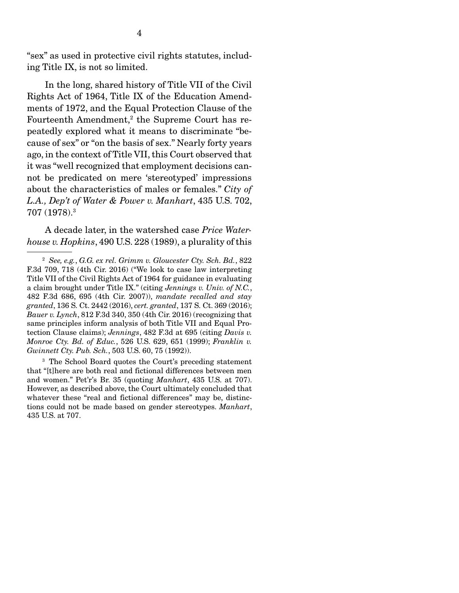"sex" as used in protective civil rights statutes, including Title IX, is not so limited.

 In the long, shared history of Title VII of the Civil Rights Act of 1964, Title IX of the Education Amendments of 1972, and the Equal Protection Clause of the Fourteenth Amendment,<sup>2</sup> the Supreme Court has repeatedly explored what it means to discriminate "because of sex" or "on the basis of sex." Nearly forty years ago, in the context of Title VII, this Court observed that it was "well recognized that employment decisions cannot be predicated on mere 'stereotyped' impressions about the characteristics of males or females." *City of L.A., Dep't of Water & Power v. Manhart*, 435 U.S. 702, 707 (1978).3

 A decade later, in the watershed case *Price Waterhouse v. Hopkins*, 490 U.S. 228 (1989), a plurality of this

3 The School Board quotes the Court's preceding statement that "[t]here are both real and fictional differences between men and women." Pet'r's Br. 35 (quoting *Manhart*, 435 U.S. at 707). However, as described above, the Court ultimately concluded that whatever these "real and fictional differences" may be, distinctions could not be made based on gender stereotypes. *Manhart*, 435 U.S. at 707.

<sup>2</sup> *See, e.g.*, *G.G. ex rel. Grimm v. Gloucester Cty. Sch. Bd.*, 822 F.3d 709, 718 (4th Cir. 2016) ("We look to case law interpreting Title VII of the Civil Rights Act of 1964 for guidance in evaluating a claim brought under Title IX." (citing *Jennings v. Univ. of N.C.*, 482 F.3d 686, 695 (4th Cir. 2007)), *mandate recalled and stay granted*, 136 S. Ct. 2442 (2016), *cert. granted*, 137 S. Ct. 369 (2016); *Bauer v. Lynch*, 812 F.3d 340, 350 (4th Cir. 2016) (recognizing that same principles inform analysis of both Title VII and Equal Protection Clause claims); *Jennings*, 482 F.3d at 695 (citing *Davis v. Monroe Cty. Bd. of Educ.*, 526 U.S. 629, 651 (1999); *Franklin v. Gwinnett Cty. Pub. Sch.*, 503 U.S. 60, 75 (1992)).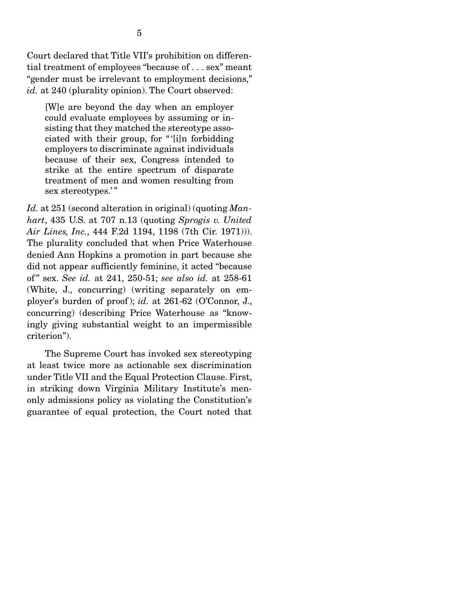Court declared that Title VII's prohibition on differential treatment of employees "because of . . . sex" meant "gender must be irrelevant to employment decisions," id. at 240 (plurality opinion). The Court observed:

[W]e are beyond the day when an employer could evaluate employees by assuming or insisting that they matched the stereotype associated with their group, for " '[i]n forbidding employers to discriminate against individuals because of their sex, Congress intended to strike at the entire spectrum of disparate treatment of men and women resulting from sex stereotypes."

*Id.* at 251 (second alteration in original) (quoting *Manhart*, 435 U.S. at 707 n.13 (quoting *Sprogis v. United Air Lines, Inc.*, 444 F.2d 1194, 1198 (7th Cir. 1971))). The plurality concluded that when Price Waterhouse denied Ann Hopkins a promotion in part because she did not appear sufficiently feminine, it acted "because of " sex. *See id.* at 241, 250-51; *see also id.* at 258-61 (White, J., concurring) (writing separately on employer's burden of proof ); *id.* at 261-62 (O'Connor, J., concurring) (describing Price Waterhouse as "knowingly giving substantial weight to an impermissible criterion").

 The Supreme Court has invoked sex stereotyping at least twice more as actionable sex discrimination under Title VII and the Equal Protection Clause. First, in striking down Virginia Military Institute's menonly admissions policy as violating the Constitution's guarantee of equal protection, the Court noted that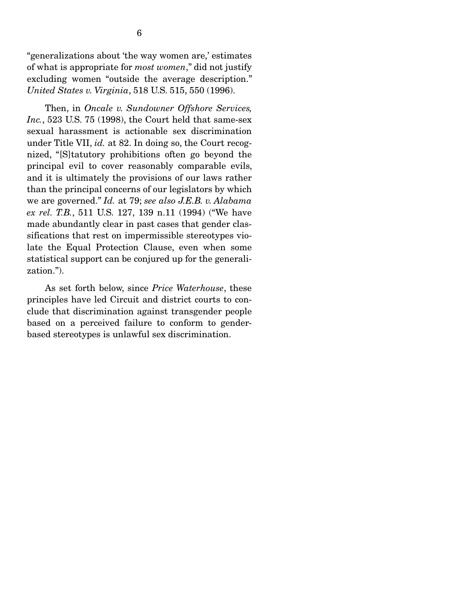"generalizations about 'the way women are,' estimates of what is appropriate for *most women*," did not justify excluding women "outside the average description." *United States v. Virginia*, 518 U.S. 515, 550 (1996).

 Then, in *Oncale v. Sundowner Offshore Services, Inc.*, 523 U.S. 75 (1998), the Court held that same-sex sexual harassment is actionable sex discrimination under Title VII, *id.* at 82. In doing so, the Court recognized, "[S]tatutory prohibitions often go beyond the principal evil to cover reasonably comparable evils, and it is ultimately the provisions of our laws rather than the principal concerns of our legislators by which we are governed." *Id.* at 79; *see also J.E.B. v. Alabama ex rel. T.B.*, 511 U.S. 127, 139 n.11 (1994) ("We have made abundantly clear in past cases that gender classifications that rest on impermissible stereotypes violate the Equal Protection Clause, even when some statistical support can be conjured up for the generalization.").

 As set forth below, since *Price Waterhouse*, these principles have led Circuit and district courts to conclude that discrimination against transgender people based on a perceived failure to conform to genderbased stereotypes is unlawful sex discrimination.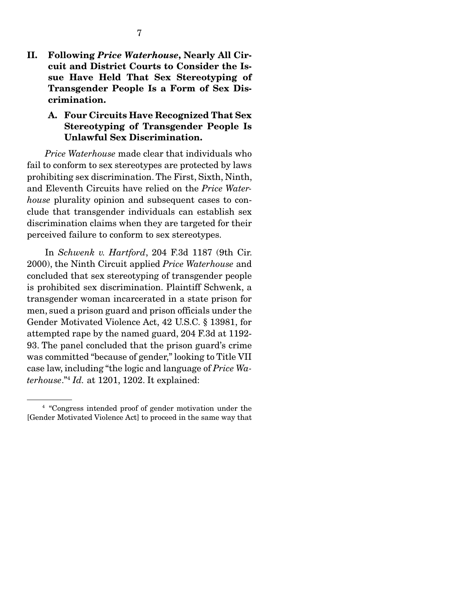II. Following *Price Waterhouse*, Nearly All Circuit and District Courts to Consider the Issue Have Held That Sex Stereotyping of Transgender People Is a Form of Sex Discrimination.

### A. Four Circuits Have Recognized That Sex Stereotyping of Transgender People Is Unlawful Sex Discrimination.

*Price Waterhouse* made clear that individuals who fail to conform to sex stereotypes are protected by laws prohibiting sex discrimination. The First, Sixth, Ninth, and Eleventh Circuits have relied on the *Price Waterhouse* plurality opinion and subsequent cases to conclude that transgender individuals can establish sex discrimination claims when they are targeted for their perceived failure to conform to sex stereotypes.

 In *Schwenk v. Hartford*, 204 F.3d 1187 (9th Cir. 2000), the Ninth Circuit applied *Price Waterhouse* and concluded that sex stereotyping of transgender people is prohibited sex discrimination. Plaintiff Schwenk, a transgender woman incarcerated in a state prison for men, sued a prison guard and prison officials under the Gender Motivated Violence Act, 42 U.S.C. § 13981, for attempted rape by the named guard, 204 F.3d at 1192- 93. The panel concluded that the prison guard's crime was committed "because of gender," looking to Title VII case law, including "the logic and language of *Price Waterhouse*."4 *Id.* at 1201, 1202. It explained:

<sup>4</sup> "Congress intended proof of gender motivation under the [Gender Motivated Violence Act] to proceed in the same way that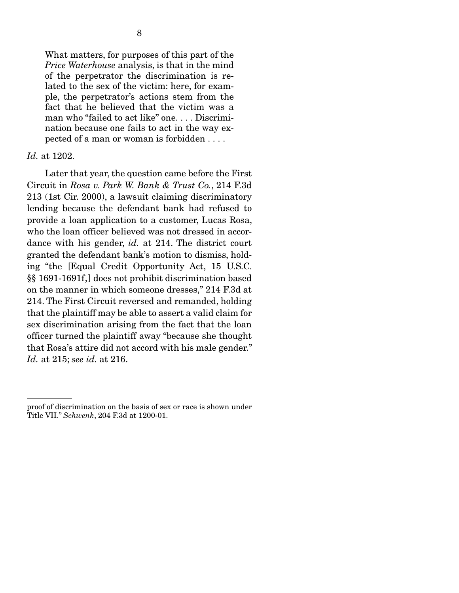What matters, for purposes of this part of the *Price Waterhouse* analysis, is that in the mind of the perpetrator the discrimination is related to the sex of the victim: here, for example, the perpetrator's actions stem from the fact that he believed that the victim was a man who "failed to act like" one. . . . Discrimination because one fails to act in the way expected of a man or woman is forbidden . . . .

#### *Id.* at 1202.

 Later that year, the question came before the First Circuit in *Rosa v. Park W. Bank & Trust Co.*, 214 F.3d 213 (1st Cir. 2000), a lawsuit claiming discriminatory lending because the defendant bank had refused to provide a loan application to a customer, Lucas Rosa, who the loan officer believed was not dressed in accordance with his gender, *id.* at 214. The district court granted the defendant bank's motion to dismiss, holding "the [Equal Credit Opportunity Act, 15 U.S.C. §§ 1691-1691f,] does not prohibit discrimination based on the manner in which someone dresses," 214 F.3d at 214. The First Circuit reversed and remanded, holding that the plaintiff may be able to assert a valid claim for sex discrimination arising from the fact that the loan officer turned the plaintiff away "because she thought that Rosa's attire did not accord with his male gender." *Id.* at 215; *see id.* at 216.

proof of discrimination on the basis of sex or race is shown under Title VII." *Schwenk*, 204 F.3d at 1200-01.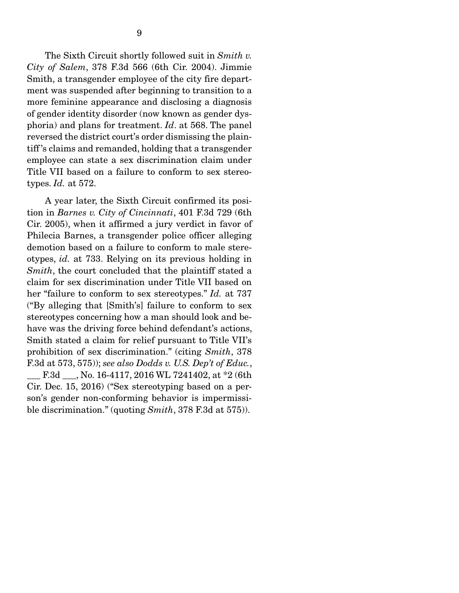The Sixth Circuit shortly followed suit in *Smith v. City of Salem*, 378 F.3d 566 (6th Cir. 2004). Jimmie Smith, a transgender employee of the city fire department was suspended after beginning to transition to a more feminine appearance and disclosing a diagnosis of gender identity disorder (now known as gender dysphoria) and plans for treatment. *Id*. at 568. The panel reversed the district court's order dismissing the plaintiff 's claims and remanded, holding that a transgender employee can state a sex discrimination claim under Title VII based on a failure to conform to sex stereotypes. *Id.* at 572.

 A year later, the Sixth Circuit confirmed its position in *Barnes v. City of Cincinnati*, 401 F.3d 729 (6th Cir. 2005), when it affirmed a jury verdict in favor of Philecia Barnes, a transgender police officer alleging demotion based on a failure to conform to male stereotypes, *id.* at 733. Relying on its previous holding in *Smith*, the court concluded that the plaintiff stated a claim for sex discrimination under Title VII based on her "failure to conform to sex stereotypes." *Id.* at 737 ("By alleging that [Smith's] failure to conform to sex stereotypes concerning how a man should look and behave was the driving force behind defendant's actions, Smith stated a claim for relief pursuant to Title VII's prohibition of sex discrimination." (citing *Smith*, 378 F.3d at 573, 575)); *see also Dodds v. U.S. Dep't of Educ.*, F.3d , No. 16-4117, 2016 WL 7241402, at \*2 (6th Cir. Dec. 15, 2016) ("Sex stereotyping based on a person's gender non-conforming behavior is impermissible discrimination." (quoting *Smith*, 378 F.3d at 575)).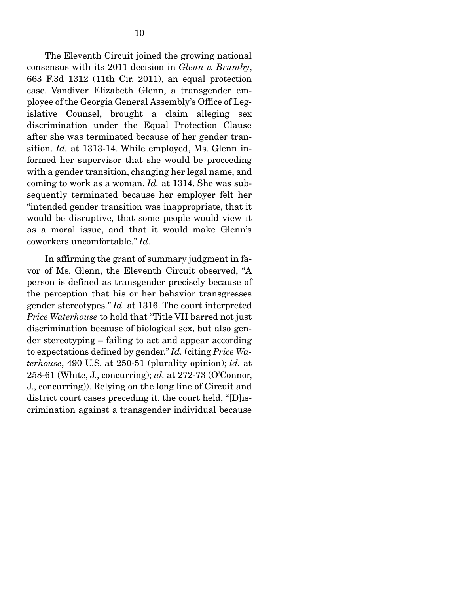The Eleventh Circuit joined the growing national consensus with its 2011 decision in *Glenn v. Brumby*, 663 F.3d 1312 (11th Cir. 2011), an equal protection case. Vandiver Elizabeth Glenn, a transgender employee of the Georgia General Assembly's Office of Legislative Counsel, brought a claim alleging sex discrimination under the Equal Protection Clause after she was terminated because of her gender transition. *Id.* at 1313-14. While employed, Ms. Glenn informed her supervisor that she would be proceeding with a gender transition, changing her legal name, and coming to work as a woman. *Id.* at 1314. She was subsequently terminated because her employer felt her "intended gender transition was inappropriate, that it would be disruptive, that some people would view it as a moral issue, and that it would make Glenn's coworkers uncomfortable." *Id.*

 In affirming the grant of summary judgment in favor of Ms. Glenn, the Eleventh Circuit observed, "A person is defined as transgender precisely because of the perception that his or her behavior transgresses gender stereotypes." *Id.* at 1316. The court interpreted *Price Waterhouse* to hold that "Title VII barred not just discrimination because of biological sex, but also gender stereotyping – failing to act and appear according to expectations defined by gender." *Id.* (citing *Price Waterhouse*, 490 U.S. at 250-51 (plurality opinion); *id.* at 258-61 (White, J., concurring); *id.* at 272-73 (O'Connor, J., concurring)). Relying on the long line of Circuit and district court cases preceding it, the court held, "[D]iscrimination against a transgender individual because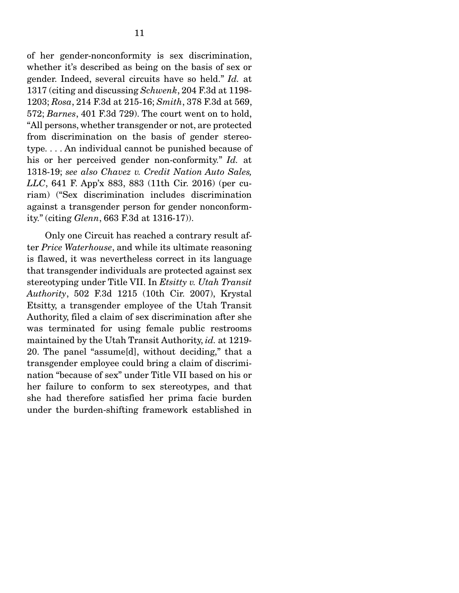of her gender-nonconformity is sex discrimination, whether it's described as being on the basis of sex or gender. Indeed, several circuits have so held." *Id.* at 1317 (citing and discussing *Schwenk*, 204 F.3d at 1198- 1203; *Rosa*, 214 F.3d at 215-16; *Smith*, 378 F.3d at 569, 572; *Barnes*, 401 F.3d 729). The court went on to hold, "All persons, whether transgender or not, are protected from discrimination on the basis of gender stereotype. . . . An individual cannot be punished because of his or her perceived gender non-conformity." *Id.* at 1318-19; *see also Chavez v. Credit Nation Auto Sales, LLC*, 641 F. App'x 883, 883 (11th Cir. 2016) (per curiam) ("Sex discrimination includes discrimination against a transgender person for gender nonconformity." (citing *Glenn*, 663 F.3d at 1316-17)).

 Only one Circuit has reached a contrary result after *Price Waterhouse*, and while its ultimate reasoning is flawed, it was nevertheless correct in its language that transgender individuals are protected against sex stereotyping under Title VII. In *Etsitty v. Utah Transit Authority*, 502 F.3d 1215 (10th Cir. 2007), Krystal Etsitty, a transgender employee of the Utah Transit Authority, filed a claim of sex discrimination after she was terminated for using female public restrooms maintained by the Utah Transit Authority, *id.* at 1219- 20. The panel "assume[d], without deciding," that a transgender employee could bring a claim of discrimination "because of sex" under Title VII based on his or her failure to conform to sex stereotypes, and that she had therefore satisfied her prima facie burden under the burden-shifting framework established in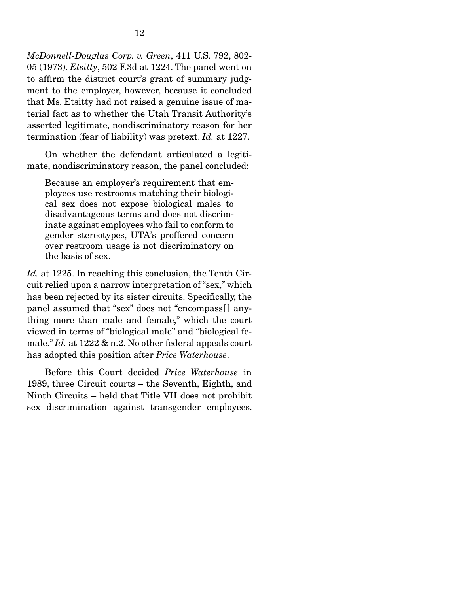*McDonnell-Douglas Corp. v. Green*, 411 U.S. 792, 802- 05 (1973). *Etsitty*, 502 F.3d at 1224. The panel went on to affirm the district court's grant of summary judgment to the employer, however, because it concluded that Ms. Etsitty had not raised a genuine issue of material fact as to whether the Utah Transit Authority's asserted legitimate, nondiscriminatory reason for her termination (fear of liability) was pretext. *Id.* at 1227.

 On whether the defendant articulated a legitimate, nondiscriminatory reason, the panel concluded:

Because an employer's requirement that employees use restrooms matching their biological sex does not expose biological males to disadvantageous terms and does not discriminate against employees who fail to conform to gender stereotypes, UTA's proffered concern over restroom usage is not discriminatory on the basis of sex.

*Id.* at 1225. In reaching this conclusion, the Tenth Circuit relied upon a narrow interpretation of "sex," which has been rejected by its sister circuits. Specifically, the panel assumed that "sex" does not "encompass[ ] anything more than male and female," which the court viewed in terms of "biological male" and "biological female." *Id.* at 1222 & n.2. No other federal appeals court has adopted this position after *Price Waterhouse*.

 Before this Court decided *Price Waterhouse* in 1989, three Circuit courts – the Seventh, Eighth, and Ninth Circuits – held that Title VII does not prohibit sex discrimination against transgender employees.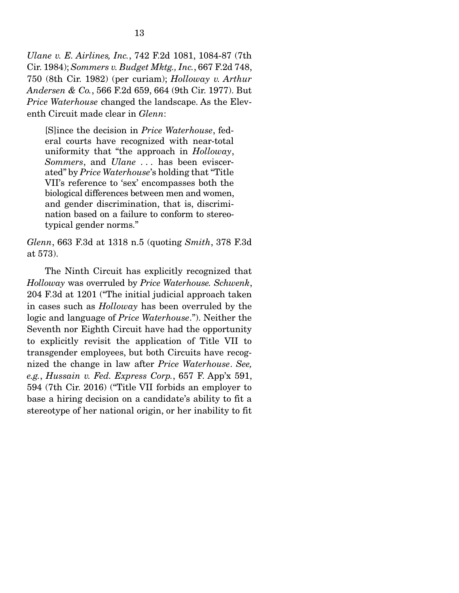*Ulane v. E. Airlines, Inc.*, 742 F.2d 1081, 1084-87 (7th Cir. 1984); *Sommers v. Budget Mktg., Inc.*, 667 F.2d 748, 750 (8th Cir. 1982) (per curiam); *Holloway v. Arthur Andersen & Co.*, 566 F.2d 659, 664 (9th Cir. 1977). But *Price Waterhouse* changed the landscape. As the Eleventh Circuit made clear in *Glenn*:

[S]ince the decision in *Price Waterhouse*, federal courts have recognized with near-total uniformity that "the approach in *Holloway*, *Sommers*, and *Ulane . . .* has been eviscerated" by *Price Waterhouse*'s holding that "Title VII's reference to 'sex' encompasses both the biological differences between men and women, and gender discrimination, that is, discrimination based on a failure to conform to stereotypical gender norms."

*Glenn*, 663 F.3d at 1318 n.5 (quoting *Smith*, 378 F.3d at 573).

 The Ninth Circuit has explicitly recognized that *Holloway* was overruled by *Price Waterhouse. Schwenk*, 204 F.3d at 1201 ("The initial judicial approach taken in cases such as *Holloway* has been overruled by the logic and language of *Price Waterhouse*."). Neither the Seventh nor Eighth Circuit have had the opportunity to explicitly revisit the application of Title VII to transgender employees, but both Circuits have recognized the change in law after *Price Waterhouse*. *See, e.g.*, *Hussain v. Fed. Express Corp.*, 657 F. App'x 591, 594 (7th Cir. 2016) ("Title VII forbids an employer to base a hiring decision on a candidate's ability to fit a stereotype of her national origin, or her inability to fit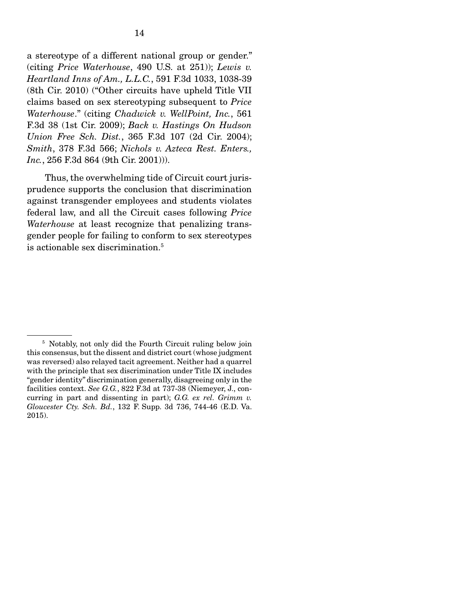a stereotype of a different national group or gender." (citing *Price Waterhouse*, 490 U.S. at 251)); *Lewis v. Heartland Inns of Am., L.L.C.*, 591 F.3d 1033, 1038-39 (8th Cir. 2010) ("Other circuits have upheld Title VII claims based on sex stereotyping subsequent to *Price Waterhouse*." (citing *Chadwick v. WellPoint, Inc.*, 561 F.3d 38 (1st Cir. 2009); *Back v. Hastings On Hudson Union Free Sch. Dist.*, 365 F.3d 107 (2d Cir. 2004); *Smith*, 378 F.3d 566; *Nichols v. Azteca Rest. Enters., Inc.*, 256 F.3d 864 (9th Cir. 2001))).

 Thus, the overwhelming tide of Circuit court jurisprudence supports the conclusion that discrimination against transgender employees and students violates federal law, and all the Circuit cases following *Price Waterhouse* at least recognize that penalizing transgender people for failing to conform to sex stereotypes is actionable sex discrimination.5

<sup>&</sup>lt;sup>5</sup> Notably, not only did the Fourth Circuit ruling below join this consensus, but the dissent and district court (whose judgment was reversed) also relayed tacit agreement. Neither had a quarrel with the principle that sex discrimination under Title IX includes "gender identity" discrimination generally, disagreeing only in the facilities context. *See G.G.*, 822 F.3d at 737-38 (Niemeyer, J., concurring in part and dissenting in part); *G.G. ex rel. Grimm v. Gloucester Cty. Sch. Bd.*, 132 F. Supp. 3d 736, 744-46 (E.D. Va. 2015).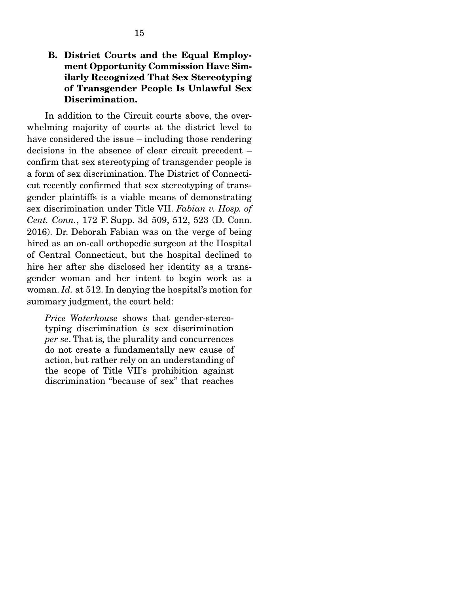In addition to the Circuit courts above, the overwhelming majority of courts at the district level to have considered the issue – including those rendering decisions in the absence of clear circuit precedent – confirm that sex stereotyping of transgender people is a form of sex discrimination. The District of Connecticut recently confirmed that sex stereotyping of transgender plaintiffs is a viable means of demonstrating sex discrimination under Title VII. *Fabian v. Hosp. of Cent. Conn.*, 172 F. Supp. 3d 509, 512, 523 (D. Conn. 2016). Dr. Deborah Fabian was on the verge of being hired as an on-call orthopedic surgeon at the Hospital of Central Connecticut, but the hospital declined to hire her after she disclosed her identity as a transgender woman and her intent to begin work as a woman. *Id.* at 512. In denying the hospital's motion for summary judgment, the court held:

*Price Waterhouse* shows that gender-stereotyping discrimination *is* sex discrimination *per se*. That is, the plurality and concurrences do not create a fundamentally new cause of action, but rather rely on an understanding of the scope of Title VII's prohibition against discrimination "because of sex" that reaches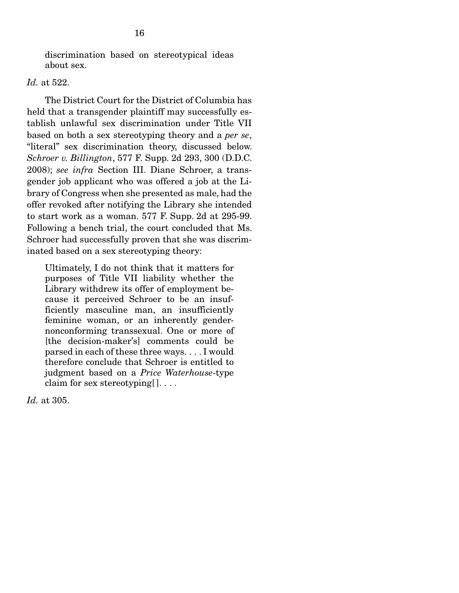discrimination based on stereotypical ideas about sex.

#### *Id.* at 522.

 The District Court for the District of Columbia has held that a transgender plaintiff may successfully establish unlawful sex discrimination under Title VII based on both a sex stereotyping theory and a *per se*, "literal" sex discrimination theory, discussed below. *Schroer v. Billington*, 577 F. Supp. 2d 293, 300 (D.D.C. 2008); *see infra* Section III. Diane Schroer, a transgender job applicant who was offered a job at the Library of Congress when she presented as male, had the offer revoked after notifying the Library she intended to start work as a woman. 577 F. Supp. 2d at 295-99. Following a bench trial, the court concluded that Ms. Schroer had successfully proven that she was discriminated based on a sex stereotyping theory:

Ultimately, I do not think that it matters for purposes of Title VII liability whether the Library withdrew its offer of employment because it perceived Schroer to be an insufficiently masculine man, an insufficiently feminine woman, or an inherently gendernonconforming transsexual. One or more of [the decision-maker's] comments could be parsed in each of these three ways. . . . I would therefore conclude that Schroer is entitled to judgment based on a *Price Waterhouse*-type claim for sex stereotyping  $[$  . . . .

*Id.* at 305.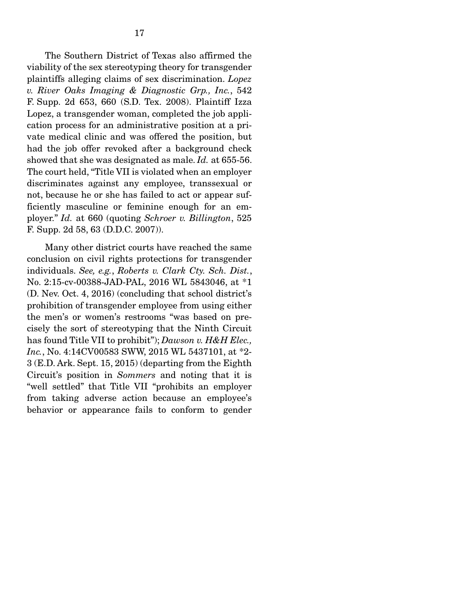The Southern District of Texas also affirmed the viability of the sex stereotyping theory for transgender plaintiffs alleging claims of sex discrimination. *Lopez v. River Oaks Imaging & Diagnostic Grp., Inc.*, 542 F. Supp. 2d 653, 660 (S.D. Tex. 2008). Plaintiff Izza Lopez, a transgender woman, completed the job application process for an administrative position at a private medical clinic and was offered the position, but had the job offer revoked after a background check showed that she was designated as male. *Id.* at 655-56. The court held, "Title VII is violated when an employer discriminates against any employee, transsexual or not, because he or she has failed to act or appear sufficiently masculine or feminine enough for an employer." *Id.* at 660 (quoting *Schroer v. Billington*, 525 F. Supp. 2d 58, 63 (D.D.C. 2007)).

 Many other district courts have reached the same conclusion on civil rights protections for transgender individuals. *See, e.g.*, *Roberts v. Clark Cty. Sch. Dist.*, No. 2:15-cv-00388-JAD-PAL, 2016 WL 5843046, at \*1 (D. Nev. Oct. 4, 2016) (concluding that school district's prohibition of transgender employee from using either the men's or women's restrooms "was based on precisely the sort of stereotyping that the Ninth Circuit has found Title VII to prohibit"); *Dawson v. H&H Elec., Inc.*, No. 4:14CV00583 SWW, 2015 WL 5437101, at \*2- 3 (E.D. Ark. Sept. 15, 2015) (departing from the Eighth Circuit's position in *Sommers* and noting that it is "well settled" that Title VII "prohibits an employer from taking adverse action because an employee's behavior or appearance fails to conform to gender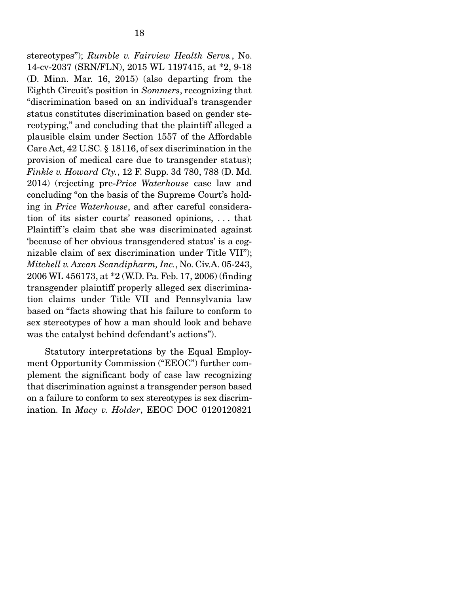stereotypes"); *Rumble v. Fairview Health Servs.*, No. 14-cv-2037 (SRN/FLN), 2015 WL 1197415, at \*2, 9-18 (D. Minn. Mar. 16, 2015) (also departing from the Eighth Circuit's position in *Sommers*, recognizing that "discrimination based on an individual's transgender status constitutes discrimination based on gender stereotyping," and concluding that the plaintiff alleged a plausible claim under Section 1557 of the Affordable Care Act, 42 U.SC. § 18116, of sex discrimination in the provision of medical care due to transgender status); *Finkle v. Howard Cty.*, 12 F. Supp. 3d 780, 788 (D. Md. 2014) (rejecting pre-*Price Waterhouse* case law and concluding "on the basis of the Supreme Court's holding in *Price Waterhouse*, and after careful consideration of its sister courts' reasoned opinions, . . . that Plaintiff 's claim that she was discriminated against 'because of her obvious transgendered status' is a cognizable claim of sex discrimination under Title VII"); *Mitchell v. Axcan Scandipharm, Inc.*, No. Civ.A. 05-243, 2006 WL 456173, at \*2 (W.D. Pa. Feb. 17, 2006) (finding transgender plaintiff properly alleged sex discrimination claims under Title VII and Pennsylvania law based on "facts showing that his failure to conform to sex stereotypes of how a man should look and behave was the catalyst behind defendant's actions").

 Statutory interpretations by the Equal Employment Opportunity Commission ("EEOC") further complement the significant body of case law recognizing that discrimination against a transgender person based on a failure to conform to sex stereotypes is sex discrimination. In *Macy v. Holder*, EEOC DOC 0120120821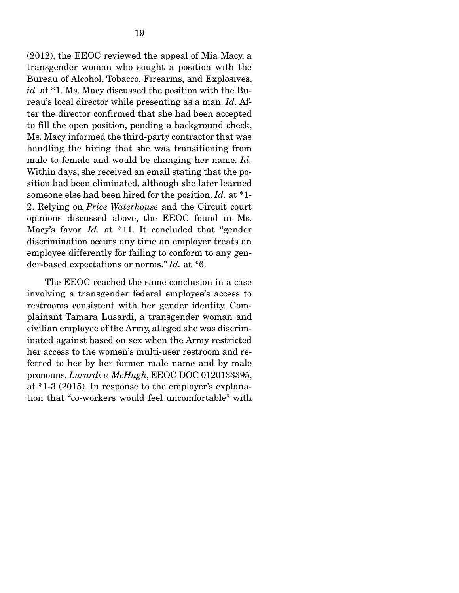(2012), the EEOC reviewed the appeal of Mia Macy, a transgender woman who sought a position with the Bureau of Alcohol, Tobacco, Firearms, and Explosives, *id.* at \*1. Ms. Macy discussed the position with the Bureau's local director while presenting as a man. *Id.* After the director confirmed that she had been accepted to fill the open position, pending a background check, Ms. Macy informed the third-party contractor that was handling the hiring that she was transitioning from male to female and would be changing her name. *Id.* Within days, she received an email stating that the position had been eliminated, although she later learned someone else had been hired for the position. *Id.* at \*1- 2. Relying on *Price Waterhouse* and the Circuit court opinions discussed above, the EEOC found in Ms. Macy's favor. *Id.* at \*11. It concluded that "gender discrimination occurs any time an employer treats an employee differently for failing to conform to any gender-based expectations or norms." *Id.* at \*6.

 The EEOC reached the same conclusion in a case involving a transgender federal employee's access to restrooms consistent with her gender identity. Complainant Tamara Lusardi, a transgender woman and civilian employee of the Army, alleged she was discriminated against based on sex when the Army restricted her access to the women's multi-user restroom and referred to her by her former male name and by male pronouns. *Lusardi v. McHugh*, EEOC DOC 0120133395, at \*1-3 (2015). In response to the employer's explanation that "co-workers would feel uncomfortable" with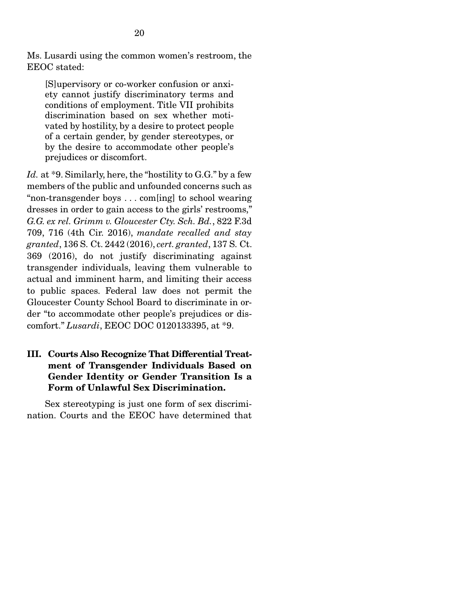Ms. Lusardi using the common women's restroom, the EEOC stated:

[S]upervisory or co-worker confusion or anxiety cannot justify discriminatory terms and conditions of employment. Title VII prohibits discrimination based on sex whether motivated by hostility, by a desire to protect people of a certain gender, by gender stereotypes, or by the desire to accommodate other people's prejudices or discomfort.

Id. at \*9. Similarly, here, the "hostility to G.G." by a few members of the public and unfounded concerns such as "non-transgender boys . . . com[ing] to school wearing dresses in order to gain access to the girls' restrooms," *G.G. ex rel. Grimm v. Gloucester Cty. Sch. Bd.*, 822 F.3d 709, 716 (4th Cir. 2016), *mandate recalled and stay granted*, 136 S. Ct. 2442 (2016), *cert. granted*, 137 S. Ct. 369 (2016), do not justify discriminating against transgender individuals, leaving them vulnerable to actual and imminent harm, and limiting their access to public spaces. Federal law does not permit the Gloucester County School Board to discriminate in order "to accommodate other people's prejudices or discomfort." *Lusardi*, EEOC DOC 0120133395, at \*9.

### III. Courts Also Recognize That Differential Treatment of Transgender Individuals Based on Gender Identity or Gender Transition Is a Form of Unlawful Sex Discrimination.

 Sex stereotyping is just one form of sex discrimination. Courts and the EEOC have determined that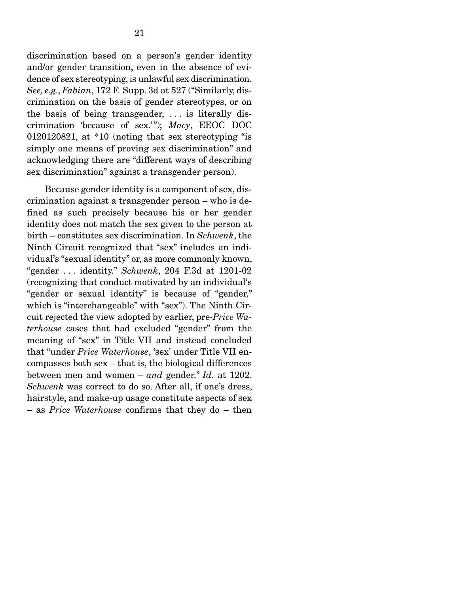discrimination based on a person's gender identity and/or gender transition, even in the absence of evidence of sex stereotyping, is unlawful sex discrimination. *See, e.g.*, *Fabian*, 172 F. Supp. 3d at 527 ("Similarly, discrimination on the basis of gender stereotypes, or on the basis of being transgender, . . . is literally discrimination 'because of sex.' "); *Macy*, EEOC DOC 0120120821, at \*10 (noting that sex stereotyping "is simply one means of proving sex discrimination" and acknowledging there are "different ways of describing sex discrimination" against a transgender person).

 Because gender identity is a component of sex, discrimination against a transgender person – who is defined as such precisely because his or her gender identity does not match the sex given to the person at birth – constitutes sex discrimination. In *Schwenk*, the Ninth Circuit recognized that "sex" includes an individual's "sexual identity" or, as more commonly known, "gender . . . identity." *Schwenk*, 204 F.3d at 1201-02 (recognizing that conduct motivated by an individual's "gender or sexual identity" is because of "gender," which is "interchangeable" with "sex"). The Ninth Circuit rejected the view adopted by earlier, pre-*Price Waterhouse* cases that had excluded "gender" from the meaning of "sex" in Title VII and instead concluded that "under *Price Waterhouse*, 'sex' under Title VII encompasses both sex – that is, the biological differences between men and women – *and* gender." *Id.* at 1202. *Schwenk* was correct to do so. After all, if one's dress, hairstyle, and make-up usage constitute aspects of sex – as *Price Waterhouse* confirms that they do – then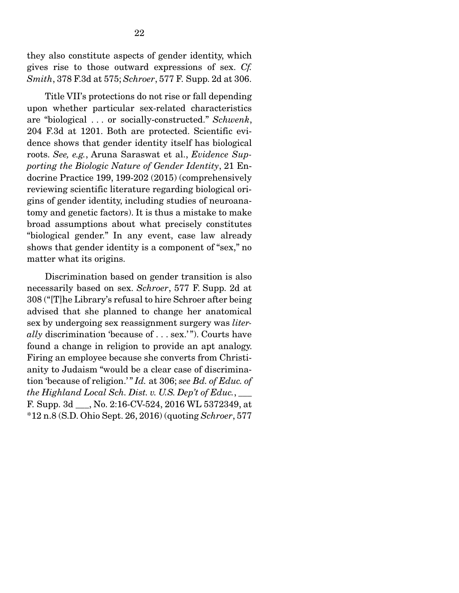they also constitute aspects of gender identity, which gives rise to those outward expressions of sex. *Cf. Smith*, 378 F.3d at 575; *Schroer*, 577 F. Supp. 2d at 306.

 Title VII's protections do not rise or fall depending upon whether particular sex-related characteristics are "biological . . . or socially-constructed." *Schwenk*, 204 F.3d at 1201. Both are protected. Scientific evidence shows that gender identity itself has biological roots. *See, e.g.*, Aruna Saraswat et al., *Evidence Supporting the Biologic Nature of Gender Identity*, 21 Endocrine Practice 199, 199-202 (2015) (comprehensively reviewing scientific literature regarding biological origins of gender identity, including studies of neuroanatomy and genetic factors). It is thus a mistake to make broad assumptions about what precisely constitutes "biological gender." In any event, case law already shows that gender identity is a component of "sex," no matter what its origins.

 Discrimination based on gender transition is also necessarily based on sex. *Schroer*, 577 F. Supp. 2d at 308 ("[T]he Library's refusal to hire Schroer after being advised that she planned to change her anatomical sex by undergoing sex reassignment surgery was *literally* discrimination 'because of . . . sex.' "). Courts have found a change in religion to provide an apt analogy. Firing an employee because she converts from Christianity to Judaism "would be a clear case of discrimination 'because of religion.' " *Id.* at 306; *see Bd. of Educ. of the Highland Local Sch. Dist. v. U.S. Dep't of Educ.*, \_\_\_ F. Supp. 3d \_\_\_, No. 2:16-CV-524, 2016 WL 5372349, at \*12 n.8 (S.D. Ohio Sept. 26, 2016) (quoting *Schroer*, 577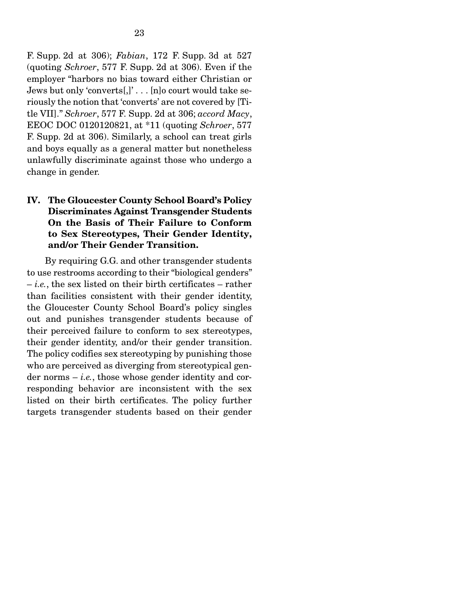F. Supp. 2d at 306); *Fabian*, 172 F. Supp. 3d at 527 (quoting *Schroer*, 577 F. Supp. 2d at 306). Even if the employer "harbors no bias toward either Christian or Jews but only 'converts[,]' . . . [n]o court would take seriously the notion that 'converts' are not covered by [Title VII]." *Schroer*, 577 F. Supp. 2d at 306; *accord Macy*, EEOC DOC 0120120821, at \*11 (quoting *Schroer*, 577 F. Supp. 2d at 306). Similarly, a school can treat girls and boys equally as a general matter but nonetheless unlawfully discriminate against those who undergo a change in gender.

### IV. The Gloucester County School Board's Policy Discriminates Against Transgender Students On the Basis of Their Failure to Conform to Sex Stereotypes, Their Gender Identity, and/or Their Gender Transition.

 By requiring G.G. and other transgender students to use restrooms according to their "biological genders" – *i.e.*, the sex listed on their birth certificates – rather than facilities consistent with their gender identity, the Gloucester County School Board's policy singles out and punishes transgender students because of their perceived failure to conform to sex stereotypes, their gender identity, and/or their gender transition. The policy codifies sex stereotyping by punishing those who are perceived as diverging from stereotypical gender norms – *i.e.*, those whose gender identity and corresponding behavior are inconsistent with the sex listed on their birth certificates. The policy further targets transgender students based on their gender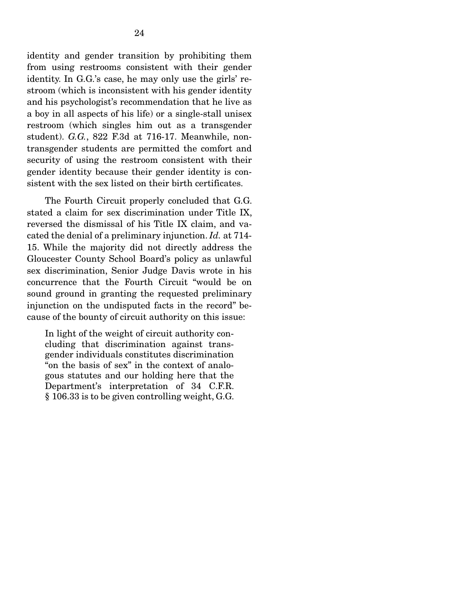identity and gender transition by prohibiting them from using restrooms consistent with their gender identity. In G.G.'s case, he may only use the girls' restroom (which is inconsistent with his gender identity and his psychologist's recommendation that he live as a boy in all aspects of his life) or a single-stall unisex restroom (which singles him out as a transgender student). *G.G.*, 822 F.3d at 716-17. Meanwhile, nontransgender students are permitted the comfort and security of using the restroom consistent with their gender identity because their gender identity is consistent with the sex listed on their birth certificates.

 The Fourth Circuit properly concluded that G.G. stated a claim for sex discrimination under Title IX, reversed the dismissal of his Title IX claim, and vacated the denial of a preliminary injunction. *Id.* at 714- 15. While the majority did not directly address the Gloucester County School Board's policy as unlawful sex discrimination, Senior Judge Davis wrote in his concurrence that the Fourth Circuit "would be on sound ground in granting the requested preliminary injunction on the undisputed facts in the record" because of the bounty of circuit authority on this issue:

In light of the weight of circuit authority concluding that discrimination against transgender individuals constitutes discrimination "on the basis of sex" in the context of analogous statutes and our holding here that the Department's interpretation of 34 C.F.R. § 106.33 is to be given controlling weight, G.G.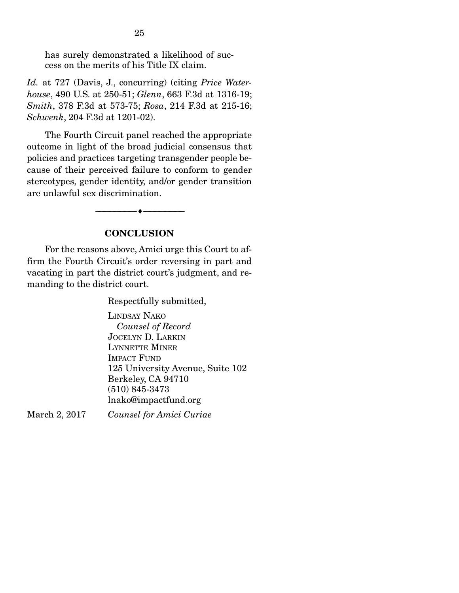has surely demonstrated a likelihood of success on the merits of his Title IX claim.

*Id.* at 727 (Davis, J., concurring) (citing *Price Waterhouse*, 490 U.S. at 250-51; *Glenn*, 663 F.3d at 1316-19; *Smith*, 378 F.3d at 573-75; *Rosa*, 214 F.3d at 215-16; *Schwenk*, 204 F.3d at 1201-02).

 The Fourth Circuit panel reached the appropriate outcome in light of the broad judicial consensus that policies and practices targeting transgender people because of their perceived failure to conform to gender stereotypes, gender identity, and/or gender transition are unlawful sex discrimination.

#### **CONCLUSION**

--------------------------------- ---------------------------------

 For the reasons above, Amici urge this Court to affirm the Fourth Circuit's order reversing in part and vacating in part the district court's judgment, and remanding to the district court.

Respectfully submitted,

LINDSAY NAKO  *Counsel of Record*  JOCELYN D. LARKIN LYNNETTE MINER IMPACT FUND 125 University Avenue, Suite 102 Berkeley, CA 94710 (510) 845-3473 lnako@impactfund.org

March 2, 2017 *Counsel for Amici Curiae*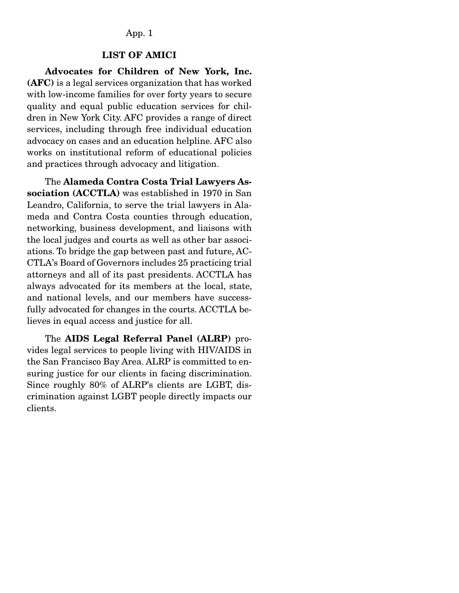#### App. 1

#### LIST OF AMICI

 Advocates for Children of New York, Inc. (AFC) is a legal services organization that has worked with low-income families for over forty years to secure quality and equal public education services for children in New York City. AFC provides a range of direct services, including through free individual education advocacy on cases and an education helpline. AFC also works on institutional reform of educational policies and practices through advocacy and litigation.

 The Alameda Contra Costa Trial Lawyers Association (ACCTLA) was established in 1970 in San Leandro, California, to serve the trial lawyers in Alameda and Contra Costa counties through education, networking, business development, and liaisons with the local judges and courts as well as other bar associations. To bridge the gap between past and future, AC-CTLA's Board of Governors includes 25 practicing trial attorneys and all of its past presidents. ACCTLA has always advocated for its members at the local, state, and national levels, and our members have successfully advocated for changes in the courts. ACCTLA believes in equal access and justice for all.

 The AIDS Legal Referral Panel (ALRP) provides legal services to people living with HIV/AIDS in the San Francisco Bay Area. ALRP is committed to ensuring justice for our clients in facing discrimination. Since roughly 80% of ALRP's clients are LGBT, discrimination against LGBT people directly impacts our clients.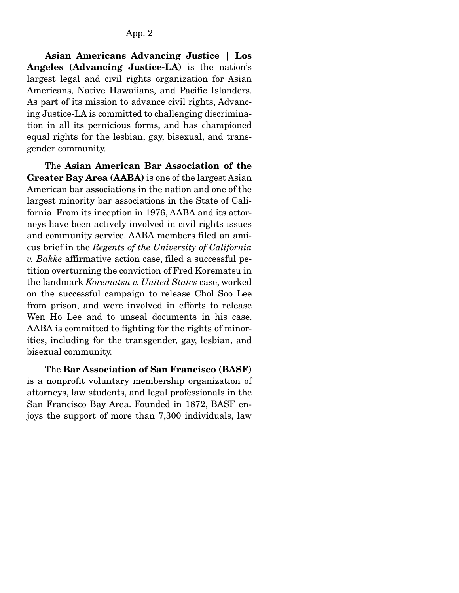Asian Americans Advancing Justice | Los Angeles (Advancing Justice-LA) is the nation's largest legal and civil rights organization for Asian Americans, Native Hawaiians, and Pacific Islanders. As part of its mission to advance civil rights, Advancing Justice-LA is committed to challenging discrimination in all its pernicious forms, and has championed equal rights for the lesbian, gay, bisexual, and transgender community.

 The Asian American Bar Association of the Greater Bay Area (AABA) is one of the largest Asian American bar associations in the nation and one of the largest minority bar associations in the State of California. From its inception in 1976, AABA and its attorneys have been actively involved in civil rights issues and community service. AABA members filed an amicus brief in the *Regents of the University of California v. Bakke* affirmative action case, filed a successful petition overturning the conviction of Fred Korematsu in the landmark *Korematsu v. United States* case, worked on the successful campaign to release Chol Soo Lee from prison, and were involved in efforts to release Wen Ho Lee and to unseal documents in his case. AABA is committed to fighting for the rights of minorities, including for the transgender, gay, lesbian, and bisexual community.

 The Bar Association of San Francisco (BASF) is a nonprofit voluntary membership organization of attorneys, law students, and legal professionals in the San Francisco Bay Area. Founded in 1872, BASF enjoys the support of more than 7,300 individuals, law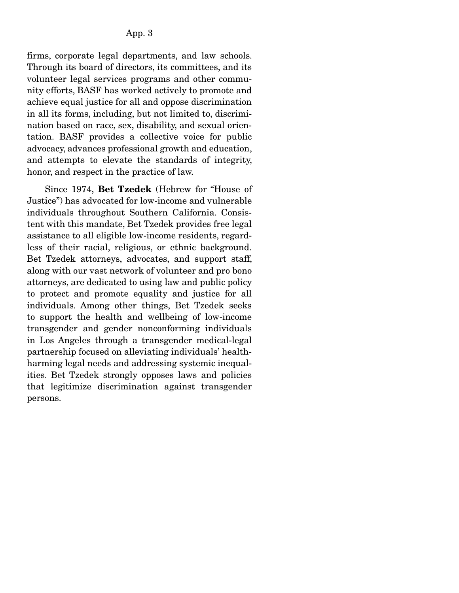firms, corporate legal departments, and law schools. Through its board of directors, its committees, and its volunteer legal services programs and other community efforts, BASF has worked actively to promote and achieve equal justice for all and oppose discrimination in all its forms, including, but not limited to, discrimination based on race, sex, disability, and sexual orientation. BASF provides a collective voice for public advocacy, advances professional growth and education, and attempts to elevate the standards of integrity, honor, and respect in the practice of law.

 Since 1974, Bet Tzedek (Hebrew for "House of Justice") has advocated for low-income and vulnerable individuals throughout Southern California. Consistent with this mandate, Bet Tzedek provides free legal assistance to all eligible low-income residents, regardless of their racial, religious, or ethnic background. Bet Tzedek attorneys, advocates, and support staff, along with our vast network of volunteer and pro bono attorneys, are dedicated to using law and public policy to protect and promote equality and justice for all individuals. Among other things, Bet Tzedek seeks to support the health and wellbeing of low-income transgender and gender nonconforming individuals in Los Angeles through a transgender medical-legal partnership focused on alleviating individuals' healthharming legal needs and addressing systemic inequalities. Bet Tzedek strongly opposes laws and policies that legitimize discrimination against transgender persons.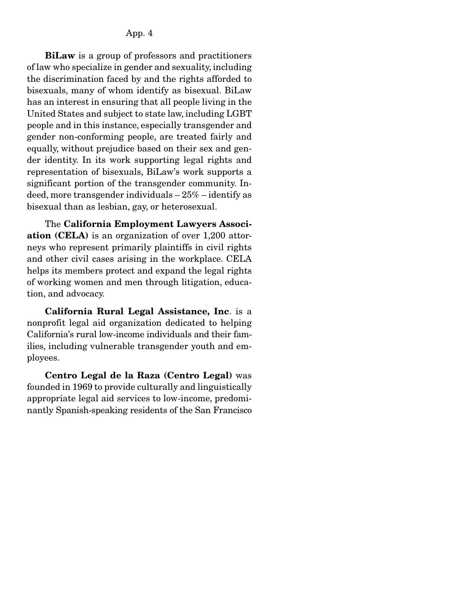BiLaw is a group of professors and practitioners of law who specialize in gender and sexuality, including the discrimination faced by and the rights afforded to bisexuals, many of whom identify as bisexual. BiLaw has an interest in ensuring that all people living in the United States and subject to state law, including LGBT people and in this instance, especially transgender and gender non-conforming people, are treated fairly and equally, without prejudice based on their sex and gender identity. In its work supporting legal rights and representation of bisexuals, BiLaw's work supports a significant portion of the transgender community. Indeed, more transgender individuals – 25% – identify as bisexual than as lesbian, gay, or heterosexual.

 The California Employment Lawyers Association (CELA) is an organization of over 1,200 attorneys who represent primarily plaintiffs in civil rights and other civil cases arising in the workplace. CELA helps its members protect and expand the legal rights of working women and men through litigation, education, and advocacy.

 California Rural Legal Assistance, Inc. is a nonprofit legal aid organization dedicated to helping California's rural low-income individuals and their families, including vulnerable transgender youth and employees.

Centro Legal de la Raza (Centro Legal) was founded in 1969 to provide culturally and linguistically appropriate legal aid services to low-income, predominantly Spanish-speaking residents of the San Francisco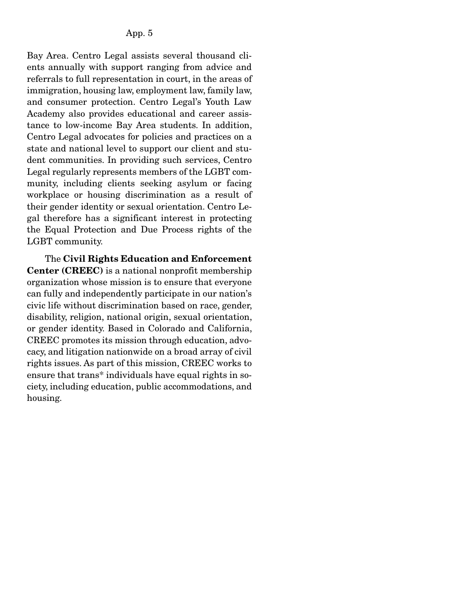Bay Area. Centro Legal assists several thousand clients annually with support ranging from advice and referrals to full representation in court, in the areas of immigration, housing law, employment law, family law, and consumer protection. Centro Legal's Youth Law Academy also provides educational and career assistance to low-income Bay Area students. In addition, Centro Legal advocates for policies and practices on a state and national level to support our client and student communities. In providing such services, Centro Legal regularly represents members of the LGBT community, including clients seeking asylum or facing workplace or housing discrimination as a result of their gender identity or sexual orientation. Centro Legal therefore has a significant interest in protecting the Equal Protection and Due Process rights of the LGBT community.

 The Civil Rights Education and Enforcement Center (CREEC) is a national nonprofit membership organization whose mission is to ensure that everyone can fully and independently participate in our nation's civic life without discrimination based on race, gender, disability, religion, national origin, sexual orientation, or gender identity. Based in Colorado and California, CREEC promotes its mission through education, advocacy, and litigation nationwide on a broad array of civil rights issues. As part of this mission, CREEC works to ensure that trans\* individuals have equal rights in society, including education, public accommodations, and housing.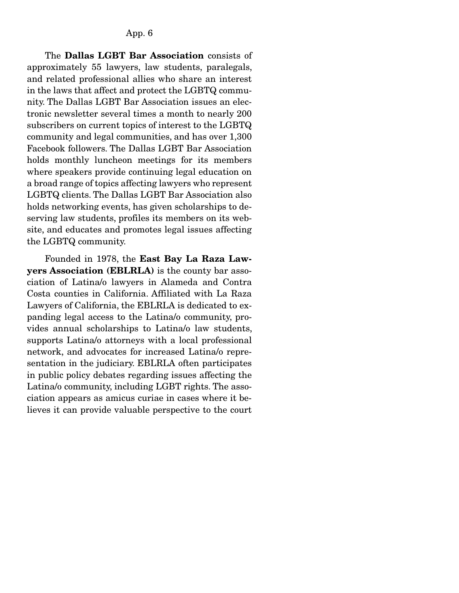The Dallas LGBT Bar Association consists of approximately 55 lawyers, law students, paralegals, and related professional allies who share an interest in the laws that affect and protect the LGBTQ community. The Dallas LGBT Bar Association issues an electronic newsletter several times a month to nearly 200 subscribers on current topics of interest to the LGBTQ community and legal communities, and has over 1,300 Facebook followers. The Dallas LGBT Bar Association holds monthly luncheon meetings for its members where speakers provide continuing legal education on a broad range of topics affecting lawyers who represent LGBTQ clients. The Dallas LGBT Bar Association also holds networking events, has given scholarships to deserving law students, profiles its members on its website, and educates and promotes legal issues affecting the LGBTQ community.

 Founded in 1978, the East Bay La Raza Lawyers Association (EBLRLA) is the county bar association of Latina/o lawyers in Alameda and Contra Costa counties in California. Affiliated with La Raza Lawyers of California, the EBLRLA is dedicated to expanding legal access to the Latina/o community, provides annual scholarships to Latina/o law students, supports Latina/o attorneys with a local professional network, and advocates for increased Latina/o representation in the judiciary. EBLRLA often participates in public policy debates regarding issues affecting the Latina/o community, including LGBT rights. The association appears as amicus curiae in cases where it believes it can provide valuable perspective to the court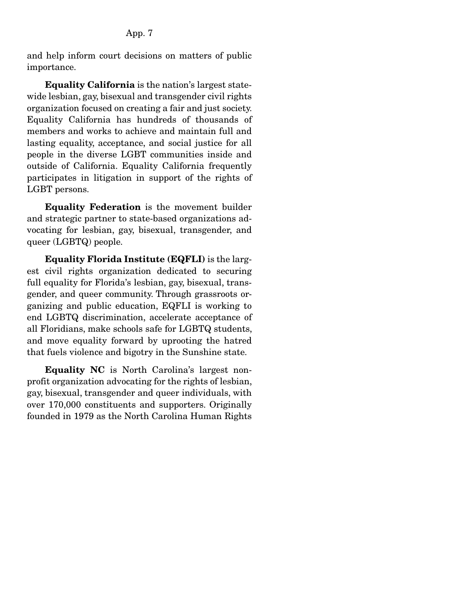and help inform court decisions on matters of public importance.

Equality California is the nation's largest statewide lesbian, gay, bisexual and transgender civil rights organization focused on creating a fair and just society. Equality California has hundreds of thousands of members and works to achieve and maintain full and lasting equality, acceptance, and social justice for all people in the diverse LGBT communities inside and outside of California. Equality California frequently participates in litigation in support of the rights of LGBT persons.

Equality Federation is the movement builder and strategic partner to state-based organizations advocating for lesbian, gay, bisexual, transgender, and queer (LGBTQ) people.

Equality Florida Institute (EQFLI) is the largest civil rights organization dedicated to securing full equality for Florida's lesbian, gay, bisexual, transgender, and queer community. Through grassroots organizing and public education, EQFLI is working to end LGBTQ discrimination, accelerate acceptance of all Floridians, make schools safe for LGBTQ students, and move equality forward by uprooting the hatred that fuels violence and bigotry in the Sunshine state.

Equality NC is North Carolina's largest nonprofit organization advocating for the rights of lesbian, gay, bisexual, transgender and queer individuals, with over 170,000 constituents and supporters. Originally founded in 1979 as the North Carolina Human Rights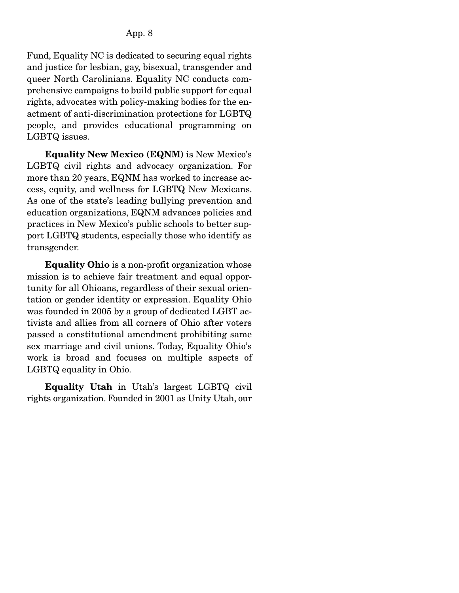Fund, Equality NC is dedicated to securing equal rights and justice for lesbian, gay, bisexual, transgender and queer North Carolinians. Equality NC conducts comprehensive campaigns to build public support for equal rights, advocates with policy-making bodies for the enactment of anti-discrimination protections for LGBTQ people, and provides educational programming on LGBTQ issues.

 Equality New Mexico (EQNM) is New Mexico's LGBTQ civil rights and advocacy organization. For more than 20 years, EQNM has worked to increase access, equity, and wellness for LGBTQ New Mexicans. As one of the state's leading bullying prevention and education organizations, EQNM advances policies and practices in New Mexico's public schools to better support LGBTQ students, especially those who identify as transgender.

 Equality Ohio is a non-profit organization whose mission is to achieve fair treatment and equal opportunity for all Ohioans, regardless of their sexual orientation or gender identity or expression. Equality Ohio was founded in 2005 by a group of dedicated LGBT activists and allies from all corners of Ohio after voters passed a constitutional amendment prohibiting same sex marriage and civil unions. Today, Equality Ohio's work is broad and focuses on multiple aspects of LGBTQ equality in Ohio.

Equality Utah in Utah's largest LGBTQ civil rights organization. Founded in 2001 as Unity Utah, our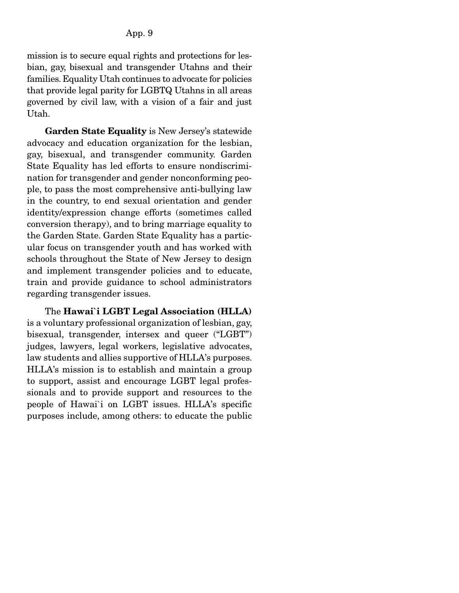mission is to secure equal rights and protections for lesbian, gay, bisexual and transgender Utahns and their families. Equality Utah continues to advocate for policies that provide legal parity for LGBTQ Utahns in all areas governed by civil law, with a vision of a fair and just Utah.

Garden State Equality is New Jersey's statewide advocacy and education organization for the lesbian, gay, bisexual, and transgender community. Garden State Equality has led efforts to ensure nondiscrimination for transgender and gender nonconforming people, to pass the most comprehensive anti-bullying law in the country, to end sexual orientation and gender identity/expression change efforts (sometimes called conversion therapy), and to bring marriage equality to the Garden State. Garden State Equality has a particular focus on transgender youth and has worked with schools throughout the State of New Jersey to design and implement transgender policies and to educate, train and provide guidance to school administrators regarding transgender issues.

The Hawai`i LGBT Legal Association (HLLA) is a voluntary professional organization of lesbian, gay, bisexual, transgender, intersex and queer ("LGBT") judges, lawyers, legal workers, legislative advocates, law students and allies supportive of HLLA's purposes. HLLA's mission is to establish and maintain a group to support, assist and encourage LGBT legal professionals and to provide support and resources to the people of Hawai`i on LGBT issues. HLLA's specific purposes include, among others: to educate the public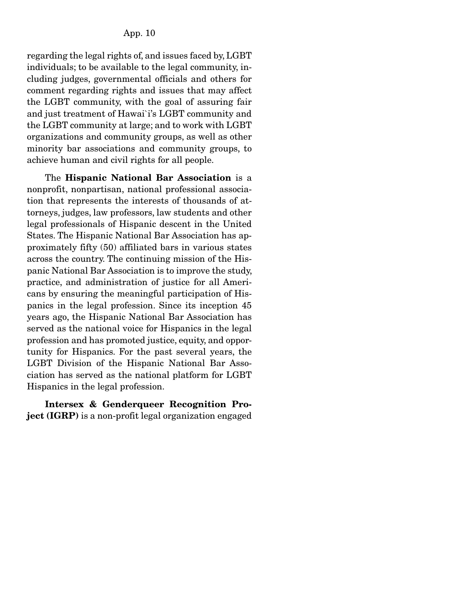regarding the legal rights of, and issues faced by, LGBT individuals; to be available to the legal community, including judges, governmental officials and others for comment regarding rights and issues that may affect the LGBT community, with the goal of assuring fair and just treatment of Hawai`i's LGBT community and the LGBT community at large; and to work with LGBT organizations and community groups, as well as other minority bar associations and community groups, to achieve human and civil rights for all people.

 The Hispanic National Bar Association is a nonprofit, nonpartisan, national professional association that represents the interests of thousands of attorneys, judges, law professors, law students and other legal professionals of Hispanic descent in the United States. The Hispanic National Bar Association has approximately fifty (50) affiliated bars in various states across the country. The continuing mission of the Hispanic National Bar Association is to improve the study, practice, and administration of justice for all Americans by ensuring the meaningful participation of Hispanics in the legal profession. Since its inception 45 years ago, the Hispanic National Bar Association has served as the national voice for Hispanics in the legal profession and has promoted justice, equity, and opportunity for Hispanics. For the past several years, the LGBT Division of the Hispanic National Bar Association has served as the national platform for LGBT Hispanics in the legal profession.

Intersex & Genderqueer Recognition Project (IGRP) is a non-profit legal organization engaged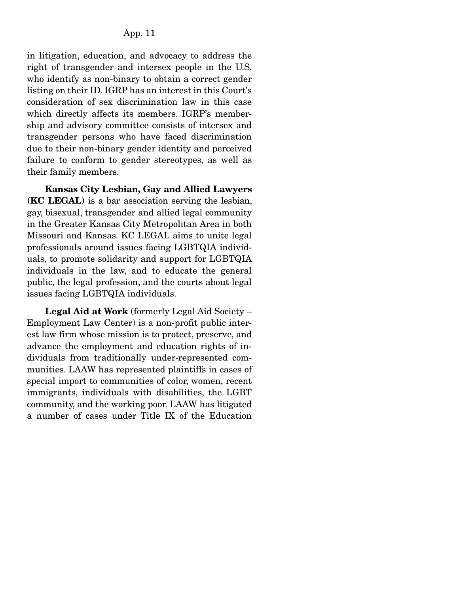in litigation, education, and advocacy to address the right of transgender and intersex people in the U.S. who identify as non-binary to obtain a correct gender listing on their ID. IGRP has an interest in this Court's consideration of sex discrimination law in this case which directly affects its members. IGRP's membership and advisory committee consists of intersex and transgender persons who have faced discrimination due to their non-binary gender identity and perceived failure to conform to gender stereotypes, as well as their family members.

Kansas City Lesbian, Gay and Allied Lawyers (KC LEGAL) is a bar association serving the lesbian, gay, bisexual, transgender and allied legal community in the Greater Kansas City Metropolitan Area in both Missouri and Kansas. KC LEGAL aims to unite legal professionals around issues facing LGBTQIA individuals, to promote solidarity and support for LGBTQIA individuals in the law, and to educate the general public, the legal profession, and the courts about legal issues facing LGBTQIA individuals.

Legal Aid at Work (formerly Legal Aid Society – Employment Law Center) is a non-profit public interest law firm whose mission is to protect, preserve, and advance the employment and education rights of individuals from traditionally under-represented communities. LAAW has represented plaintiffs in cases of special import to communities of color, women, recent immigrants, individuals with disabilities, the LGBT community, and the working poor. LAAW has litigated a number of cases under Title IX of the Education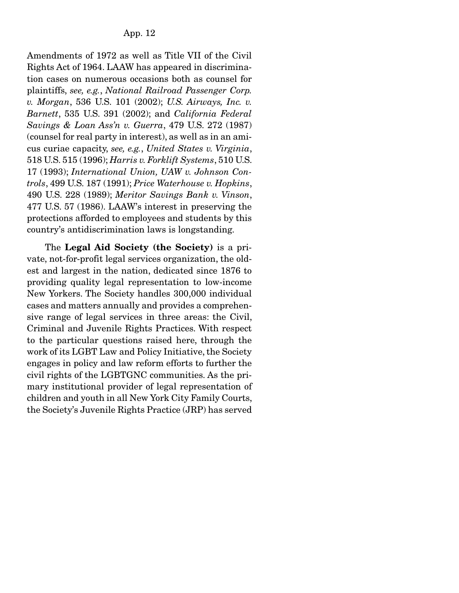Amendments of 1972 as well as Title VII of the Civil Rights Act of 1964. LAAW has appeared in discrimination cases on numerous occasions both as counsel for plaintiffs, *see, e.g.*, *National Railroad Passenger Corp. v. Morgan*, 536 U.S. 101 (2002); *U.S. Airways, Inc. v. Barnett*, 535 U.S. 391 (2002); and *California Federal Savings & Loan Ass'n v. Guerra*, 479 U.S. 272 (1987) (counsel for real party in interest), as well as in an amicus curiae capacity, *see, e.g.*, *United States v. Virginia*, 518 U.S. 515 (1996); *Harris v. Forklift Systems*, 510 U.S. 17 (1993); *International Union, UAW v. Johnson Controls*, 499 U.S. 187 (1991); *Price Waterhouse v. Hopkins*, 490 U.S. 228 (1989); *Meritor Savings Bank v. Vinson*, 477 U.S. 57 (1986). LAAW's interest in preserving the protections afforded to employees and students by this country's antidiscrimination laws is longstanding.

 The Legal Aid Society (the Society) is a private, not-for-profit legal services organization, the oldest and largest in the nation, dedicated since 1876 to providing quality legal representation to low-income New Yorkers. The Society handles 300,000 individual cases and matters annually and provides a comprehensive range of legal services in three areas: the Civil, Criminal and Juvenile Rights Practices. With respect to the particular questions raised here, through the work of its LGBT Law and Policy Initiative, the Society engages in policy and law reform efforts to further the civil rights of the LGBTGNC communities. As the primary institutional provider of legal representation of children and youth in all New York City Family Courts, the Society's Juvenile Rights Practice (JRP) has served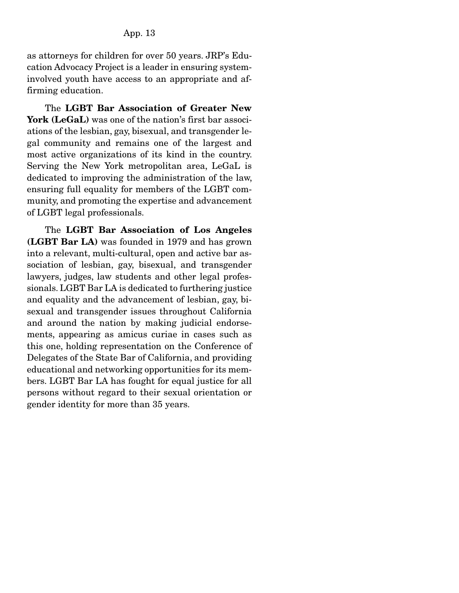as attorneys for children for over 50 years. JRP's Education Advocacy Project is a leader in ensuring systeminvolved youth have access to an appropriate and affirming education.

The LGBT Bar Association of Greater New York (LeGaL) was one of the nation's first bar associations of the lesbian, gay, bisexual, and transgender legal community and remains one of the largest and most active organizations of its kind in the country. Serving the New York metropolitan area, LeGaL is dedicated to improving the administration of the law, ensuring full equality for members of the LGBT community, and promoting the expertise and advancement of LGBT legal professionals.

 The LGBT Bar Association of Los Angeles (LGBT Bar LA) was founded in 1979 and has grown into a relevant, multi-cultural, open and active bar association of lesbian, gay, bisexual, and transgender lawyers, judges, law students and other legal professionals. LGBT Bar LA is dedicated to furthering justice and equality and the advancement of lesbian, gay, bisexual and transgender issues throughout California and around the nation by making judicial endorsements, appearing as amicus curiae in cases such as this one, holding representation on the Conference of Delegates of the State Bar of California, and providing educational and networking opportunities for its members. LGBT Bar LA has fought for equal justice for all persons without regard to their sexual orientation or gender identity for more than 35 years.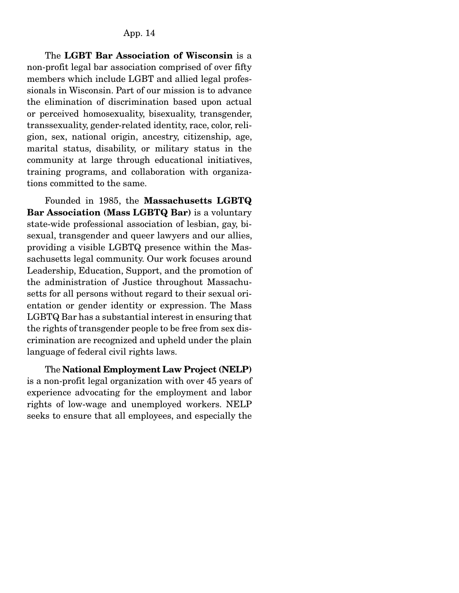The LGBT Bar Association of Wisconsin is a non-profit legal bar association comprised of over fifty members which include LGBT and allied legal professionals in Wisconsin. Part of our mission is to advance the elimination of discrimination based upon actual or perceived homosexuality, bisexuality, transgender, transsexuality, gender-related identity, race, color, religion, sex, national origin, ancestry, citizenship, age, marital status, disability, or military status in the community at large through educational initiatives, training programs, and collaboration with organizations committed to the same.

 Founded in 1985, the Massachusetts LGBTQ Bar Association (Mass LGBTQ Bar) is a voluntary state-wide professional association of lesbian, gay, bisexual, transgender and queer lawyers and our allies, providing a visible LGBTQ presence within the Massachusetts legal community. Our work focuses around Leadership, Education, Support, and the promotion of the administration of Justice throughout Massachusetts for all persons without regard to their sexual orientation or gender identity or expression. The Mass LGBTQ Bar has a substantial interest in ensuring that the rights of transgender people to be free from sex discrimination are recognized and upheld under the plain language of federal civil rights laws.

 The National Employment Law Project (NELP) is a non-profit legal organization with over 45 years of experience advocating for the employment and labor rights of low-wage and unemployed workers. NELP seeks to ensure that all employees, and especially the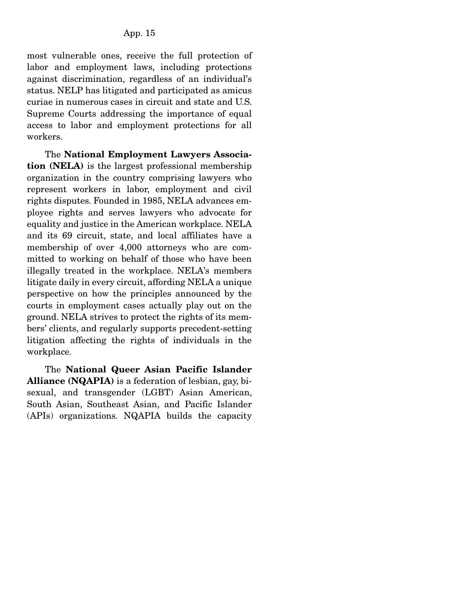most vulnerable ones, receive the full protection of labor and employment laws, including protections against discrimination, regardless of an individual's status. NELP has litigated and participated as amicus curiae in numerous cases in circuit and state and U.S. Supreme Courts addressing the importance of equal access to labor and employment protections for all workers.

 The National Employment Lawyers Association (NELA) is the largest professional membership organization in the country comprising lawyers who represent workers in labor, employment and civil rights disputes. Founded in 1985, NELA advances employee rights and serves lawyers who advocate for equality and justice in the American workplace. NELA and its 69 circuit, state, and local affiliates have a membership of over 4,000 attorneys who are committed to working on behalf of those who have been illegally treated in the workplace. NELA's members litigate daily in every circuit, affording NELA a unique perspective on how the principles announced by the courts in employment cases actually play out on the ground. NELA strives to protect the rights of its members' clients, and regularly supports precedent-setting litigation affecting the rights of individuals in the workplace.

 The National Queer Asian Pacific Islander Alliance (NQAPIA) is a federation of lesbian, gay, bisexual, and transgender (LGBT) Asian American, South Asian, Southeast Asian, and Pacific Islander (APIs) organizations. NQAPIA builds the capacity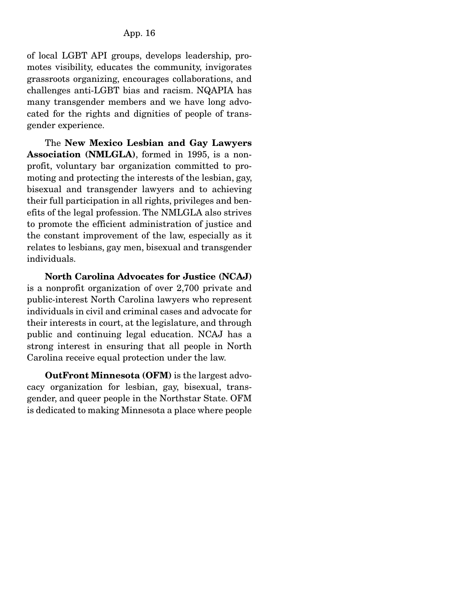of local LGBT API groups, develops leadership, promotes visibility, educates the community, invigorates grassroots organizing, encourages collaborations, and challenges anti-LGBT bias and racism. NQAPIA has many transgender members and we have long advocated for the rights and dignities of people of transgender experience.

 The New Mexico Lesbian and Gay Lawyers Association (NMLGLA), formed in 1995, is a nonprofit, voluntary bar organization committed to promoting and protecting the interests of the lesbian, gay, bisexual and transgender lawyers and to achieving their full participation in all rights, privileges and benefits of the legal profession. The NMLGLA also strives to promote the efficient administration of justice and the constant improvement of the law, especially as it relates to lesbians, gay men, bisexual and transgender individuals.

North Carolina Advocates for Justice (NCAJ) is a nonprofit organization of over 2,700 private and public-interest North Carolina lawyers who represent individuals in civil and criminal cases and advocate for their interests in court, at the legislature, and through public and continuing legal education. NCAJ has a strong interest in ensuring that all people in North Carolina receive equal protection under the law.

OutFront Minnesota (OFM) is the largest advocacy organization for lesbian, gay, bisexual, transgender, and queer people in the Northstar State. OFM is dedicated to making Minnesota a place where people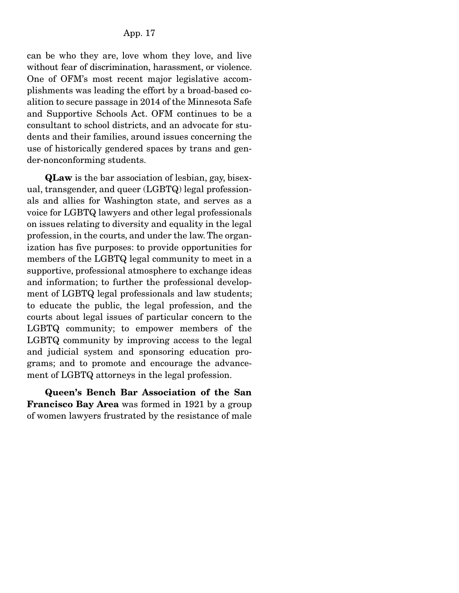can be who they are, love whom they love, and live without fear of discrimination, harassment, or violence. One of OFM's most recent major legislative accomplishments was leading the effort by a broad-based coalition to secure passage in 2014 of the Minnesota Safe and Supportive Schools Act. OFM continues to be a consultant to school districts, and an advocate for students and their families, around issues concerning the use of historically gendered spaces by trans and gender-nonconforming students.

QLaw is the bar association of lesbian, gay, bisexual, transgender, and queer (LGBTQ) legal professionals and allies for Washington state, and serves as a voice for LGBTQ lawyers and other legal professionals on issues relating to diversity and equality in the legal profession, in the courts, and under the law. The organization has five purposes: to provide opportunities for members of the LGBTQ legal community to meet in a supportive, professional atmosphere to exchange ideas and information; to further the professional development of LGBTQ legal professionals and law students; to educate the public, the legal profession, and the courts about legal issues of particular concern to the LGBTQ community; to empower members of the LGBTQ community by improving access to the legal and judicial system and sponsoring education programs; and to promote and encourage the advancement of LGBTQ attorneys in the legal profession.

Queen's Bench Bar Association of the San Francisco Bay Area was formed in 1921 by a group of women lawyers frustrated by the resistance of male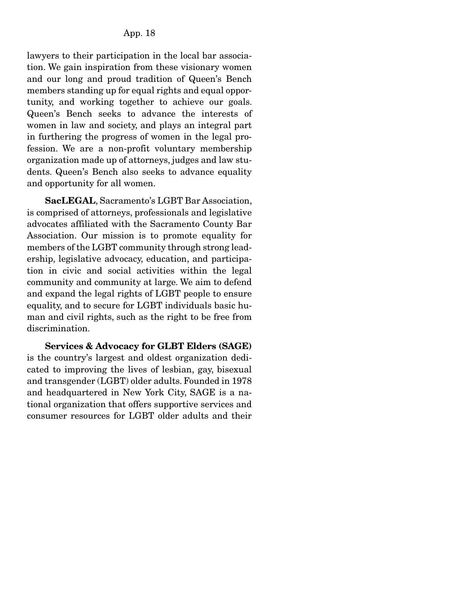lawyers to their participation in the local bar association. We gain inspiration from these visionary women and our long and proud tradition of Queen's Bench members standing up for equal rights and equal opportunity, and working together to achieve our goals. Queen's Bench seeks to advance the interests of women in law and society, and plays an integral part in furthering the progress of women in the legal profession. We are a non-profit voluntary membership organization made up of attorneys, judges and law students. Queen's Bench also seeks to advance equality and opportunity for all women.

SacLEGAL, Sacramento's LGBT Bar Association, is comprised of attorneys, professionals and legislative advocates affiliated with the Sacramento County Bar Association. Our mission is to promote equality for members of the LGBT community through strong leadership, legislative advocacy, education, and participation in civic and social activities within the legal community and community at large. We aim to defend and expand the legal rights of LGBT people to ensure equality, and to secure for LGBT individuals basic human and civil rights, such as the right to be free from discrimination.

Services & Advocacy for GLBT Elders (SAGE) is the country's largest and oldest organization dedicated to improving the lives of lesbian, gay, bisexual and transgender (LGBT) older adults. Founded in 1978 and headquartered in New York City, SAGE is a national organization that offers supportive services and consumer resources for LGBT older adults and their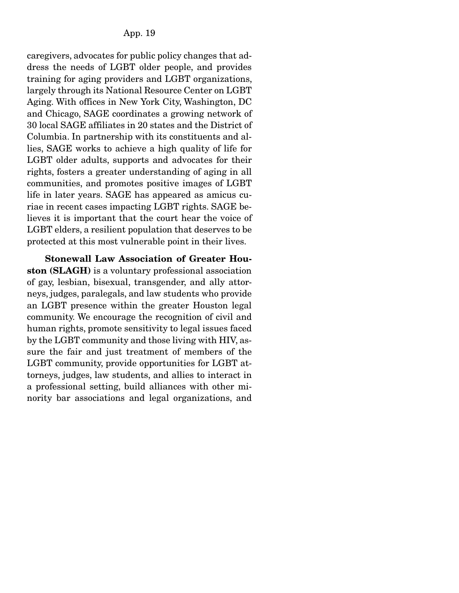caregivers, advocates for public policy changes that address the needs of LGBT older people, and provides training for aging providers and LGBT organizations, largely through its National Resource Center on LGBT Aging. With offices in New York City, Washington, DC and Chicago, SAGE coordinates a growing network of 30 local SAGE affiliates in 20 states and the District of Columbia. In partnership with its constituents and allies, SAGE works to achieve a high quality of life for LGBT older adults, supports and advocates for their rights, fosters a greater understanding of aging in all communities, and promotes positive images of LGBT life in later years. SAGE has appeared as amicus curiae in recent cases impacting LGBT rights. SAGE believes it is important that the court hear the voice of LGBT elders, a resilient population that deserves to be protected at this most vulnerable point in their lives.

Stonewall Law Association of Greater Houston (SLAGH) is a voluntary professional association of gay, lesbian, bisexual, transgender, and ally attorneys, judges, paralegals, and law students who provide an LGBT presence within the greater Houston legal community. We encourage the recognition of civil and human rights, promote sensitivity to legal issues faced by the LGBT community and those living with HIV, assure the fair and just treatment of members of the LGBT community, provide opportunities for LGBT attorneys, judges, law students, and allies to interact in a professional setting, build alliances with other minority bar associations and legal organizations, and